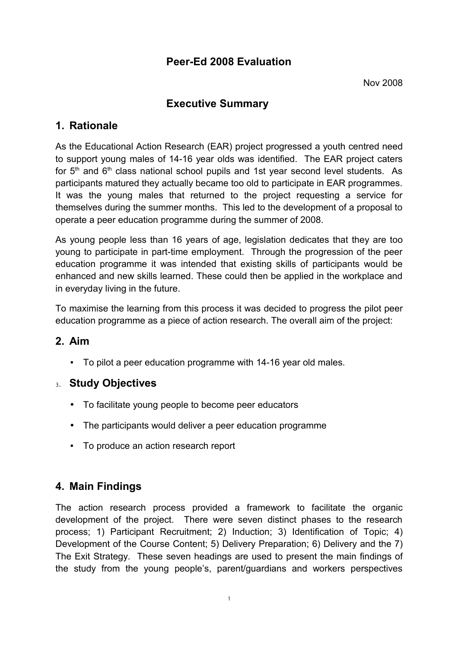# **Peer-Ed 2008 Evaluation**

# **Executive Summary**

# **1. Rationale**

As the Educational Action Research (EAR) project progressed a youth centred need to support young males of 14-16 year olds was identified. The EAR project caters for  $5<sup>th</sup>$  and  $6<sup>th</sup>$  class national school pupils and 1st year second level students. As participants matured they actually became too old to participate in EAR programmes. It was the young males that returned to the project requesting a service for themselves during the summer months. This led to the development of a proposal to operate a peer education programme during the summer of 2008.

As young people less than 16 years of age, legislation dedicates that they are too young to participate in part-time employment. Through the progression of the peer education programme it was intended that existing skills of participants would be enhanced and new skills learned. These could then be applied in the workplace and in everyday living in the future.

To maximise the learning from this process it was decided to progress the pilot peer education programme as a piece of action research. The overall aim of the project:

# **2. Aim**

• To pilot a peer education programme with 14-16 year old males.

## 3. **Study Objectives**

- To facilitate young people to become peer educators
- The participants would deliver a peer education programme
- To produce an action research report

# **4. Main Findings**

The action research process provided a framework to facilitate the organic development of the project. There were seven distinct phases to the research process; 1) Participant Recruitment; 2) Induction; 3) Identification of Topic; 4) Development of the Course Content; 5) Delivery Preparation; 6) Delivery and the 7) The Exit Strategy. These seven headings are used to present the main findings of the study from the young people's, parent/guardians and workers perspectives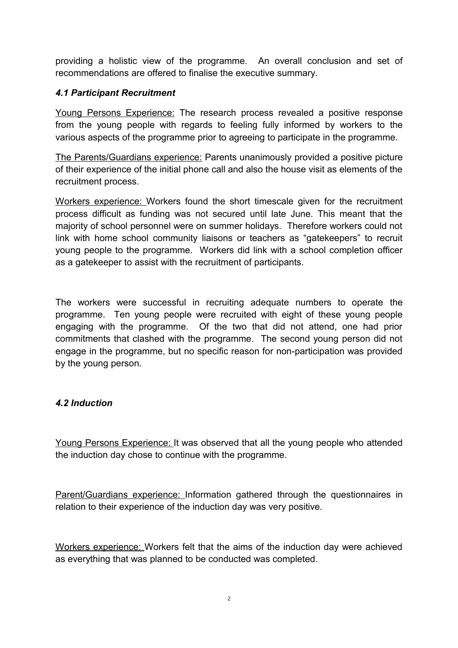providing a holistic view of the programme. An overall conclusion and set of recommendations are offered to finalise the executive summary.

#### *4.1 Participant Recruitment*

Young Persons Experience: The research process revealed a positive response from the young people with regards to feeling fully informed by workers to the various aspects of the programme prior to agreeing to participate in the programme.

The Parents/Guardians experience: Parents unanimously provided a positive picture of their experience of the initial phone call and also the house visit as elements of the recruitment process.

Workers experience: Workers found the short timescale given for the recruitment process difficult as funding was not secured until late June. This meant that the majority of school personnel were on summer holidays. Therefore workers could not link with home school community liaisons or teachers as "gatekeepers" to recruit young people to the programme. Workers did link with a school completion officer as a gatekeeper to assist with the recruitment of participants.

The workers were successful in recruiting adequate numbers to operate the programme. Ten young people were recruited with eight of these young people engaging with the programme. Of the two that did not attend, one had prior commitments that clashed with the programme. The second young person did not engage in the programme, but no specific reason for non-participation was provided by the young person.

#### *4.2 Induction*

Young Persons Experience: It was observed that all the young people who attended the induction day chose to continue with the programme.

Parent/Guardians experience: Information gathered through the questionnaires in relation to their experience of the induction day was very positive.

Workers experience: Workers felt that the aims of the induction day were achieved as everything that was planned to be conducted was completed.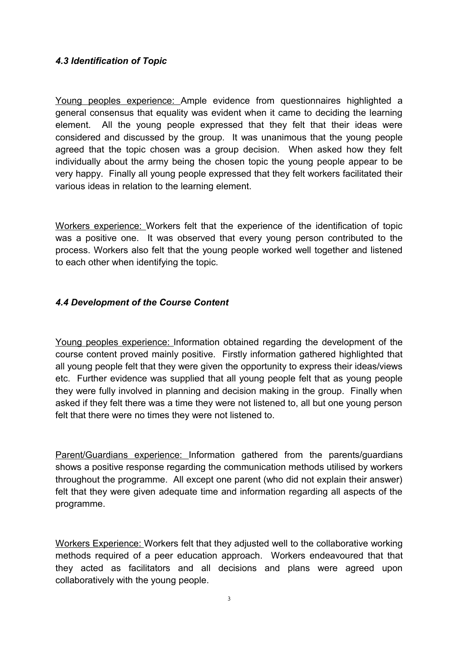#### *4.3 Identification of Topic*

Young peoples experience: Ample evidence from questionnaires highlighted a general consensus that equality was evident when it came to deciding the learning element. All the young people expressed that they felt that their ideas were considered and discussed by the group. It was unanimous that the young people agreed that the topic chosen was a group decision. When asked how they felt individually about the army being the chosen topic the young people appear to be very happy. Finally all young people expressed that they felt workers facilitated their various ideas in relation to the learning element.

Workers experience: Workers felt that the experience of the identification of topic was a positive one. It was observed that every young person contributed to the process. Workers also felt that the young people worked well together and listened to each other when identifying the topic.

#### *4.4 Development of the Course Content*

Young peoples experience: Information obtained regarding the development of the course content proved mainly positive. Firstly information gathered highlighted that all young people felt that they were given the opportunity to express their ideas/views etc. Further evidence was supplied that all young people felt that as young people they were fully involved in planning and decision making in the group. Finally when asked if they felt there was a time they were not listened to, all but one young person felt that there were no times they were not listened to.

Parent/Guardians experience: Information gathered from the parents/guardians shows a positive response regarding the communication methods utilised by workers throughout the programme. All except one parent (who did not explain their answer) felt that they were given adequate time and information regarding all aspects of the programme.

Workers Experience: Workers felt that they adjusted well to the collaborative working methods required of a peer education approach. Workers endeavoured that that they acted as facilitators and all decisions and plans were agreed upon collaboratively with the young people.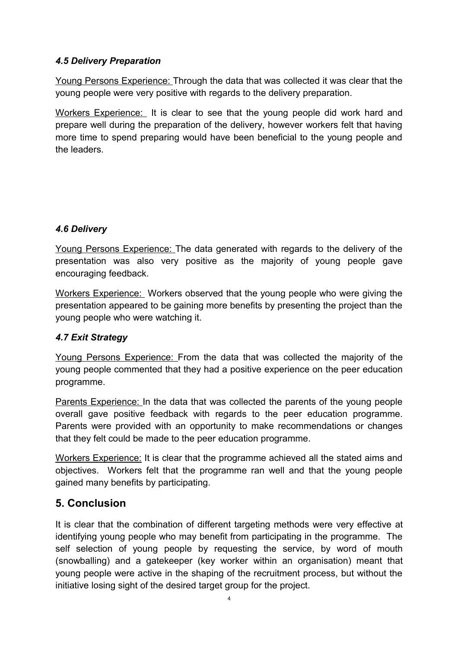## *4.5 Delivery Preparation*

 Young Persons Experience: Through the data that was collected it was clear that the young people were very positive with regards to the delivery preparation.

Workers Experience: It is clear to see that the young people did work hard and prepare well during the preparation of the delivery, however workers felt that having more time to spend preparing would have been beneficial to the young people and the leaders.

## *4.6 Delivery*

Young Persons Experience: The data generated with regards to the delivery of the presentation was also very positive as the majority of young people gave encouraging feedback.

Workers Experience: Workers observed that the young people who were giving the presentation appeared to be gaining more benefits by presenting the project than the young people who were watching it.

## *4.7 Exit Strategy*

Young Persons Experience: From the data that was collected the majority of the young people commented that they had a positive experience on the peer education programme.

Parents Experience: In the data that was collected the parents of the young people overall gave positive feedback with regards to the peer education programme. Parents were provided with an opportunity to make recommendations or changes that they felt could be made to the peer education programme.

Workers Experience: It is clear that the programme achieved all the stated aims and objectives. Workers felt that the programme ran well and that the young people gained many benefits by participating.

# **5. Conclusion**

It is clear that the combination of different targeting methods were very effective at identifying young people who may benefit from participating in the programme. The self selection of young people by requesting the service, by word of mouth (snowballing) and a gatekeeper (key worker within an organisation) meant that young people were active in the shaping of the recruitment process, but without the initiative losing sight of the desired target group for the project.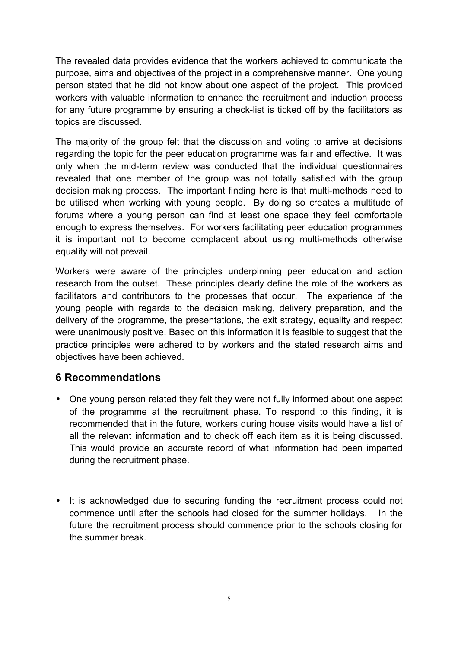The revealed data provides evidence that the workers achieved to communicate the purpose, aims and objectives of the project in a comprehensive manner. One young person stated that he did not know about one aspect of the project. This provided workers with valuable information to enhance the recruitment and induction process for any future programme by ensuring a check-list is ticked off by the facilitators as topics are discussed.

The majority of the group felt that the discussion and voting to arrive at decisions regarding the topic for the peer education programme was fair and effective. It was only when the mid-term review was conducted that the individual questionnaires revealed that one member of the group was not totally satisfied with the group decision making process. The important finding here is that multi-methods need to be utilised when working with young people. By doing so creates a multitude of forums where a young person can find at least one space they feel comfortable enough to express themselves. For workers facilitating peer education programmes it is important not to become complacent about using multi-methods otherwise equality will not prevail.

Workers were aware of the principles underpinning peer education and action research from the outset. These principles clearly define the role of the workers as facilitators and contributors to the processes that occur. The experience of the young people with regards to the decision making, delivery preparation, and the delivery of the programme, the presentations, the exit strategy, equality and respect were unanimously positive. Based on this information it is feasible to suggest that the practice principles were adhered to by workers and the stated research aims and objectives have been achieved.

## **6 Recommendations**

- One young person related they felt they were not fully informed about one aspect of the programme at the recruitment phase. To respond to this finding, it is recommended that in the future, workers during house visits would have a list of all the relevant information and to check off each item as it is being discussed. This would provide an accurate record of what information had been imparted during the recruitment phase.
- It is acknowledged due to securing funding the recruitment process could not commence until after the schools had closed for the summer holidays. In the future the recruitment process should commence prior to the schools closing for the summer break.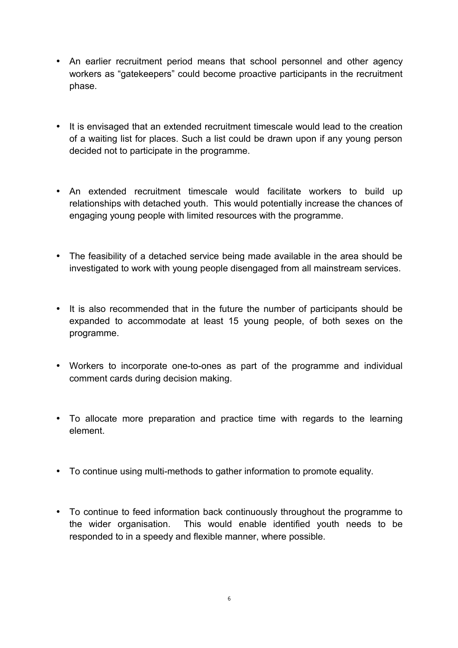- An earlier recruitment period means that school personnel and other agency workers as "gatekeepers" could become proactive participants in the recruitment phase.
- It is envisaged that an extended recruitment timescale would lead to the creation of a waiting list for places. Such a list could be drawn upon if any young person decided not to participate in the programme.
- An extended recruitment timescale would facilitate workers to build up relationships with detached youth. This would potentially increase the chances of engaging young people with limited resources with the programme.
- The feasibility of a detached service being made available in the area should be investigated to work with young people disengaged from all mainstream services.
- It is also recommended that in the future the number of participants should be expanded to accommodate at least 15 young people, of both sexes on the programme.
- Workers to incorporate one-to-ones as part of the programme and individual comment cards during decision making.
- To allocate more preparation and practice time with regards to the learning element.
- To continue using multi-methods to gather information to promote equality.
- To continue to feed information back continuously throughout the programme to the wider organisation. This would enable identified youth needs to be responded to in a speedy and flexible manner, where possible.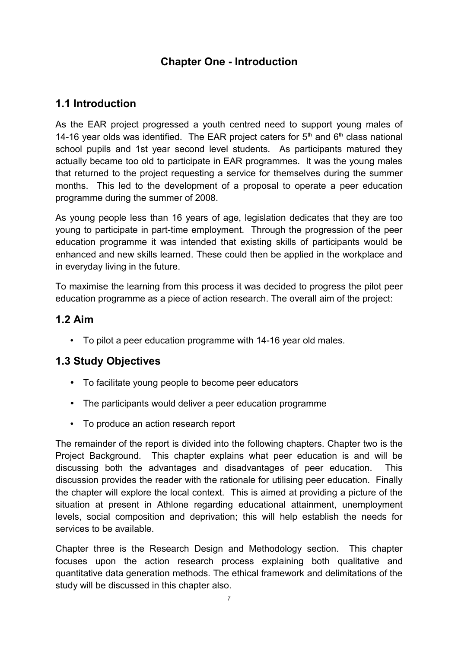# **Chapter One - Introduction**

# **1.1 Introduction**

As the EAR project progressed a youth centred need to support young males of 14-16 year olds was identified. The EAR project caters for  $5<sup>th</sup>$  and  $6<sup>th</sup>$  class national school pupils and 1st year second level students. As participants matured they actually became too old to participate in EAR programmes. It was the young males that returned to the project requesting a service for themselves during the summer months. This led to the development of a proposal to operate a peer education programme during the summer of 2008.

As young people less than 16 years of age, legislation dedicates that they are too young to participate in part-time employment. Through the progression of the peer education programme it was intended that existing skills of participants would be enhanced and new skills learned. These could then be applied in the workplace and in everyday living in the future.

To maximise the learning from this process it was decided to progress the pilot peer education programme as a piece of action research. The overall aim of the project:

## **1.2 Aim**

• To pilot a peer education programme with 14-16 year old males.

# **1.3 Study Objectives**

- To facilitate young people to become peer educators
- The participants would deliver a peer education programme
- To produce an action research report

The remainder of the report is divided into the following chapters. Chapter two is the Project Background. This chapter explains what peer education is and will be discussing both the advantages and disadvantages of peer education. This discussion provides the reader with the rationale for utilising peer education. Finally the chapter will explore the local context. This is aimed at providing a picture of the situation at present in Athlone regarding educational attainment, unemployment levels, social composition and deprivation; this will help establish the needs for services to be available.

Chapter three is the Research Design and Methodology section. This chapter focuses upon the action research process explaining both qualitative and quantitative data generation methods. The ethical framework and delimitations of the study will be discussed in this chapter also.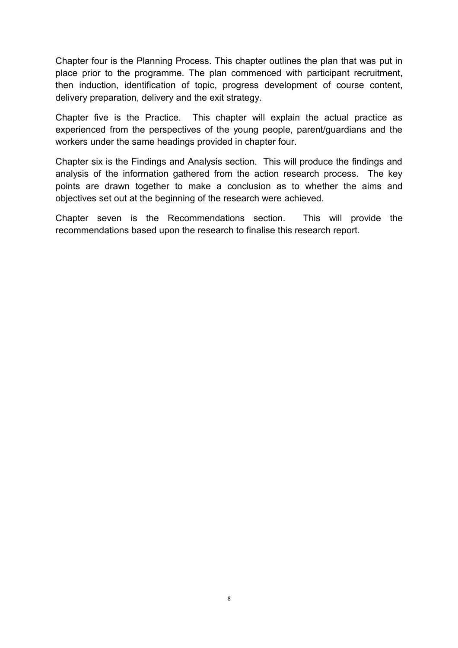Chapter four is the Planning Process. This chapter outlines the plan that was put in place prior to the programme. The plan commenced with participant recruitment, then induction, identification of topic, progress development of course content, delivery preparation, delivery and the exit strategy.

Chapter five is the Practice. This chapter will explain the actual practice as experienced from the perspectives of the young people, parent/guardians and the workers under the same headings provided in chapter four.

Chapter six is the Findings and Analysis section. This will produce the findings and analysis of the information gathered from the action research process. The key points are drawn together to make a conclusion as to whether the aims and objectives set out at the beginning of the research were achieved.

Chapter seven is the Recommendations section. This will provide the recommendations based upon the research to finalise this research report.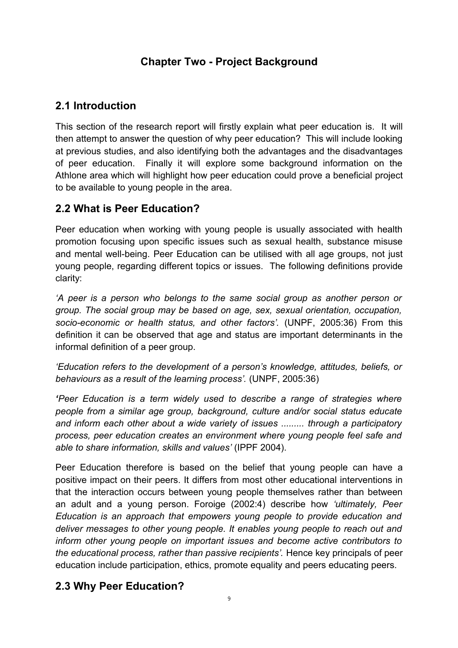# **Chapter Two - Project Background**

# **2.1 Introduction**

This section of the research report will firstly explain what peer education is. It will then attempt to answer the question of why peer education? This will include looking at previous studies, and also identifying both the advantages and the disadvantages of peer education. Finally it will explore some background information on the Athlone area which will highlight how peer education could prove a beneficial project to be available to young people in the area.

# **2.2 What is Peer Education?**

Peer education when working with young people is usually associated with health promotion focusing upon specific issues such as sexual health, substance misuse and mental well-being. Peer Education can be utilised with all age groups, not just young people, regarding different topics or issues. The following definitions provide clarity:

*'A peer is a person who belongs to the same social group as another person or group. The social group may be based on age, sex, sexual orientation, occupation, socio-economic or health status, and other factors'.* (UNPF, 2005:36) From this definition it can be observed that age and status are important determinants in the informal definition of a peer group.

*'Education refers to the development of a person's knowledge, attitudes, beliefs, or behaviours as a result of the learning process'.* (UNPF, 2005:36)

*'Peer Education is a term widely used to describe a range of strategies where people from a similar age group, background, culture and/or social status educate and inform each other about a wide variety of issues ......... through a participatory process, peer education creates an environment where young people feel safe and able to share information, skills and values'* (IPPF 2004).

Peer Education therefore is based on the belief that young people can have a positive impact on their peers. It differs from most other educational interventions in that the interaction occurs between young people themselves rather than between an adult and a young person. Foroige (2002:4) describe how *'ultimately, Peer Education is an approach that empowers young people to provide education and deliver messages to other young people. It enables young people to reach out and inform other young people on important issues and become active contributors to the educational process, rather than passive recipients'.* Hence key principals of peer education include participation, ethics, promote equality and peers educating peers.

# **2.3 Why Peer Education?**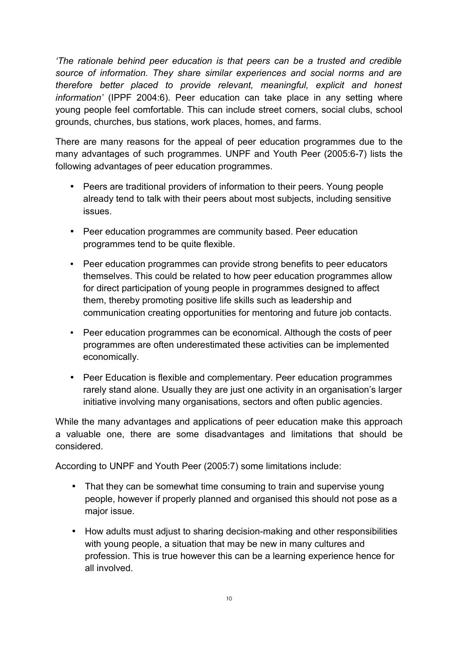*'The rationale behind peer education is that peers can be a trusted and credible source of information. They share similar experiences and social norms and are therefore better placed to provide relevant, meaningful, explicit and honest information'* (IPPF 2004:6). Peer education can take place in any setting where young people feel comfortable. This can include street corners, social clubs, school grounds, churches, bus stations, work places, homes, and farms.

There are many reasons for the appeal of peer education programmes due to the many advantages of such programmes. UNPF and Youth Peer (2005:6-7) lists the following advantages of peer education programmes.

- Peers are traditional providers of information to their peers. Young people already tend to talk with their peers about most subjects, including sensitive issues.
- Peer education programmes are community based. Peer education programmes tend to be quite flexible.
- Peer education programmes can provide strong benefits to peer educators themselves. This could be related to how peer education programmes allow for direct participation of young people in programmes designed to affect them, thereby promoting positive life skills such as leadership and communication creating opportunities for mentoring and future job contacts.
- Peer education programmes can be economical. Although the costs of peer programmes are often underestimated these activities can be implemented economically.
- Peer Education is flexible and complementary. Peer education programmes rarely stand alone. Usually they are just one activity in an organisation's larger initiative involving many organisations, sectors and often public agencies.

While the many advantages and applications of peer education make this approach a valuable one, there are some disadvantages and limitations that should be considered.

According to UNPF and Youth Peer (2005:7) some limitations include:

- That they can be somewhat time consuming to train and supervise young people, however if properly planned and organised this should not pose as a major issue.
- How adults must adjust to sharing decision-making and other responsibilities with young people, a situation that may be new in many cultures and profession. This is true however this can be a learning experience hence for all involved.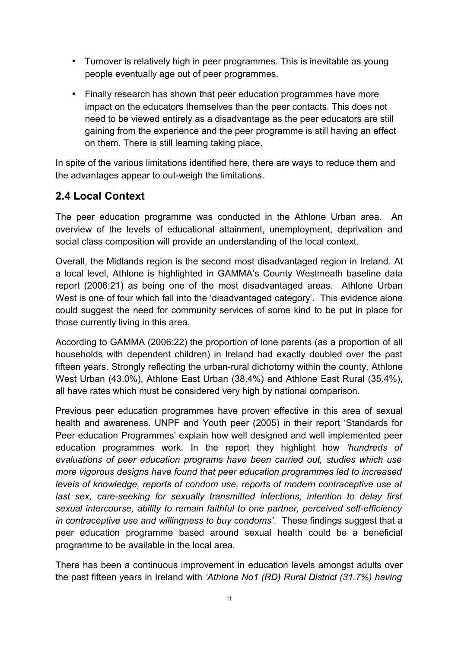- Turnover is relatively high in peer programmes. This is inevitable as young people eventually age out of peer programmes.
- Finally research has shown that peer education programmes have more impact on the educators themselves than the peer contacts. This does not need to be viewed entirely as a disadvantage as the peer educators are still gaining from the experience and the peer programme is still having an effect on them. There is still learning taking place.

In spite of the various limitations identified here, there are ways to reduce them and the advantages appear to out-weigh the limitations.

# **2.4 Local Context**

The peer education programme was conducted in the Athlone Urban area. An overview of the levels of educational attainment, unemployment, deprivation and social class composition will provide an understanding of the local context.

Overall, the Midlands region is the second most disadvantaged region in Ireland. At a local level, Athlone is highlighted in GAMMA's County Westmeath baseline data report (2006:21) as being one of the most disadvantaged areas. Athlone Urban West is one of four which fall into the 'disadvantaged category'. This evidence alone could suggest the need for community services of some kind to be put in place for those currently living in this area.

According to GAMMA (2006:22) the proportion of lone parents (as a proportion of all households with dependent children) in Ireland had exactly doubled over the past fifteen years. Strongly reflecting the urban-rural dichotomy within the county, Athlone West Urban (43.0%), Athlone East Urban (38.4%) and Athlone East Rural (35.4%), all have rates which must be considered very high by national comparison.

Previous peer education programmes have proven effective in this area of sexual health and awareness. UNPF and Youth peer (2005) in their report 'Standards for Peer education Programmes' explain how well designed and well implemented peer education programmes work. In the report they highlight how *'hundreds of evaluations of peer education programs have been carried out, studies which use more vigorous designs have found that peer education programmes led to increased levels of knowledge, reports of condom use, reports of modern contraceptive use at last sex, care-seeking for sexually transmitted infections, intention to delay first sexual intercourse, ability to remain faithful to one partner, perceived self-efficiency in contraceptive use and willingness to buy condoms'*. These findings suggest that a peer education programme based around sexual health could be a beneficial programme to be available in the local area.

There has been a continuous improvement in education levels amongst adults over the past fifteen years in Ireland with *'Athlone No1 (RD) Rural District (31.7%) having*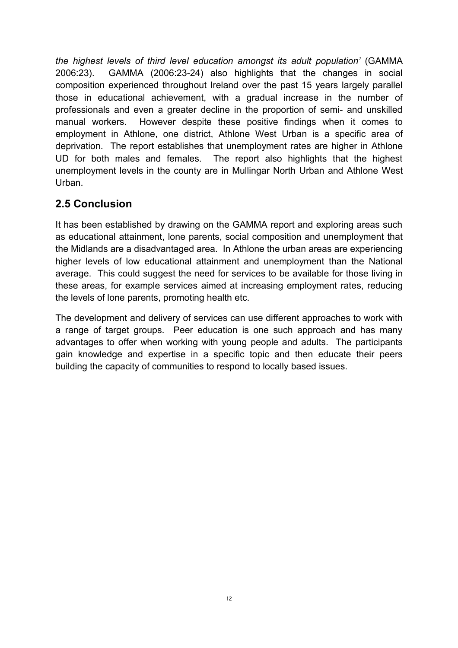*the highest levels of third level education amongst its adult population'* (GAMMA 2006:23). GAMMA (2006:23-24) also highlights that the changes in social composition experienced throughout Ireland over the past 15 years largely parallel those in educational achievement, with a gradual increase in the number of professionals and even a greater decline in the proportion of semi- and unskilled manual workers. However despite these positive findings when it comes to employment in Athlone, one district, Athlone West Urban is a specific area of deprivation. The report establishes that unemployment rates are higher in Athlone UD for both males and females. The report also highlights that the highest unemployment levels in the county are in Mullingar North Urban and Athlone West Urban.

# **2.5 Conclusion**

It has been established by drawing on the GAMMA report and exploring areas such as educational attainment, lone parents, social composition and unemployment that the Midlands are a disadvantaged area. In Athlone the urban areas are experiencing higher levels of low educational attainment and unemployment than the National average. This could suggest the need for services to be available for those living in these areas, for example services aimed at increasing employment rates, reducing the levels of lone parents, promoting health etc.

The development and delivery of services can use different approaches to work with a range of target groups. Peer education is one such approach and has many advantages to offer when working with young people and adults. The participants gain knowledge and expertise in a specific topic and then educate their peers building the capacity of communities to respond to locally based issues.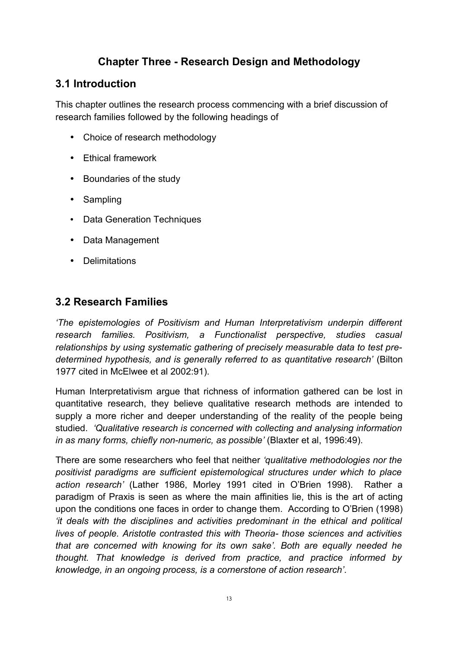# **Chapter Three - Research Design and Methodology**

# **3.1 Introduction**

This chapter outlines the research process commencing with a brief discussion of research families followed by the following headings of

- Choice of research methodology
- Ethical framework
- Boundaries of the study
- Sampling
- Data Generation Techniques
- Data Management
- Delimitations

# **3.2 Research Families**

*'The epistemologies of Positivism and Human Interpretativism underpin different research families. Positivism, a Functionalist perspective, studies casual relationships by using systematic gathering of precisely measurable data to test predetermined hypothesis, and is generally referred to as quantitative research'* (Bilton 1977 cited in McElwee et al 2002:91).

Human Interpretativism argue that richness of information gathered can be lost in quantitative research, they believe qualitative research methods are intended to supply a more richer and deeper understanding of the reality of the people being studied. *'Qualitative research is concerned with collecting and analysing information in as many forms, chiefly non-numeric, as possible'* (Blaxter et al, 1996:49).

There are some researchers who feel that neither *'qualitative methodologies nor the positivist paradigms are sufficient epistemological structures under which to place action research'* (Lather 1986, Morley 1991 cited in O'Brien 1998). Rather a paradigm of Praxis is seen as where the main affinities lie, this is the art of acting upon the conditions one faces in order to change them. According to O'Brien (1998) *'it deals with the disciplines and activities predominant in the ethical and political lives of people. Aristotle contrasted this with Theoria- those sciences and activities that are concerned with knowing for its own sake'. Both are equally needed he thought. That knowledge is derived from practice, and practice informed by knowledge, in an ongoing process, is a cornerstone of action research'*.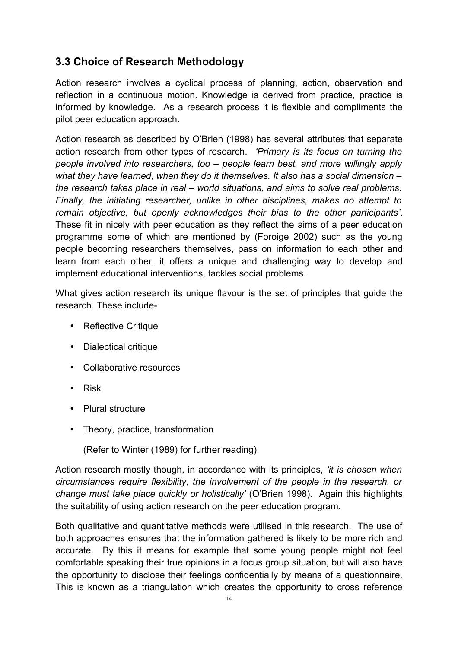# **3.3 Choice of Research Methodology**

Action research involves a cyclical process of planning, action, observation and reflection in a continuous motion. Knowledge is derived from practice, practice is informed by knowledge. As a research process it is flexible and compliments the pilot peer education approach.

Action research as described by O'Brien (1998) has several attributes that separate action research from other types of research. *'Primary is its focus on turning the people involved into researchers, too – people learn best, and more willingly apply what they have learned, when they do it themselves. It also has a social dimension – the research takes place in real – world situations, and aims to solve real problems. Finally, the initiating researcher, unlike in other disciplines, makes no attempt to remain objective, but openly acknowledges their bias to the other participants'*. These fit in nicely with peer education as they reflect the aims of a peer education programme some of which are mentioned by (Foroige 2002) such as the young people becoming researchers themselves, pass on information to each other and learn from each other, it offers a unique and challenging way to develop and implement educational interventions, tackles social problems.

What gives action research its unique flavour is the set of principles that guide the research. These include-

- Reflective Critique
- Dialectical critique
- Collaborative resources
- Risk
- Plural structure
- Theory, practice, transformation

(Refer to Winter (1989) for further reading).

Action research mostly though, in accordance with its principles, *'it is chosen when circumstances require flexibility, the involvement of the people in the research, or change must take place quickly or holistically'* (O'Brien 1998). Again this highlights the suitability of using action research on the peer education program.

Both qualitative and quantitative methods were utilised in this research. The use of both approaches ensures that the information gathered is likely to be more rich and accurate. By this it means for example that some young people might not feel comfortable speaking their true opinions in a focus group situation, but will also have the opportunity to disclose their feelings confidentially by means of a questionnaire. This is known as a triangulation which creates the opportunity to cross reference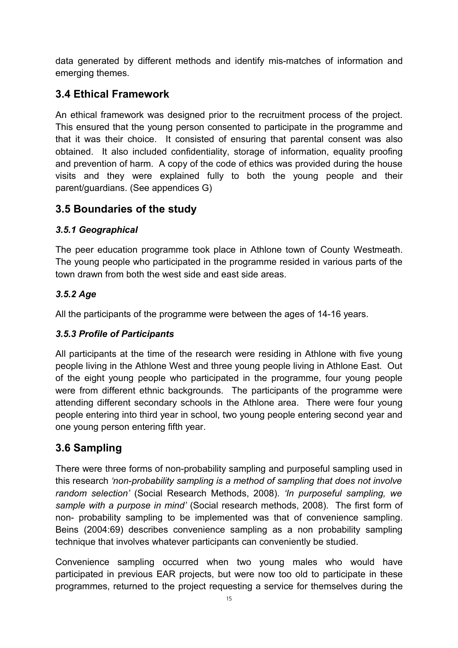data generated by different methods and identify mis-matches of information and emerging themes.

# **3.4 Ethical Framework**

An ethical framework was designed prior to the recruitment process of the project. This ensured that the young person consented to participate in the programme and that it was their choice. It consisted of ensuring that parental consent was also obtained. It also included confidentiality, storage of information, equality proofing and prevention of harm. A copy of the code of ethics was provided during the house visits and they were explained fully to both the young people and their parent/guardians. (See appendices G)

# **3.5 Boundaries of the study**

## *3.5.1 Geographical*

The peer education programme took place in Athlone town of County Westmeath. The young people who participated in the programme resided in various parts of the town drawn from both the west side and east side areas.

## *3.5.2 Age*

All the participants of the programme were between the ages of 14-16 years.

## *3.5.3 Profile of Participants*

All participants at the time of the research were residing in Athlone with five young people living in the Athlone West and three young people living in Athlone East. Out of the eight young people who participated in the programme, four young people were from different ethnic backgrounds. The participants of the programme were attending different secondary schools in the Athlone area. There were four young people entering into third year in school, two young people entering second year and one young person entering fifth year.

# **3.6 Sampling**

There were three forms of non-probability sampling and purposeful sampling used in this research *'non-probability sampling is a method of sampling that does not involve random selection'* (Social Research Methods, 2008). *'In purposeful sampling, we sample with a purpose in mind'* (Social research methods, 2008). The first form of non- probability sampling to be implemented was that of convenience sampling. Beins (2004:69) describes convenience sampling as a non probability sampling technique that involves whatever participants can conveniently be studied.

Convenience sampling occurred when two young males who would have participated in previous EAR projects, but were now too old to participate in these programmes, returned to the project requesting a service for themselves during the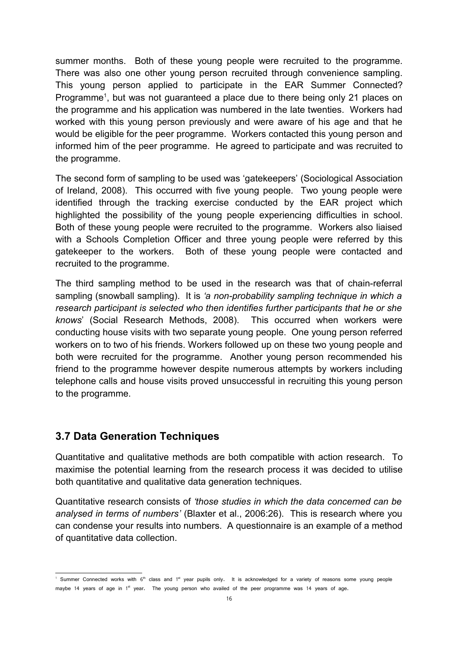summer months. Both of these young people were recruited to the programme. There was also one other young person recruited through convenience sampling. This young person applied to participate in the EAR Summer Connected? Programme<sup>[1](#page-15-0)</sup>, but was not guaranteed a place due to there being only 21 places on the programme and his application was numbered in the late twenties. Workers had worked with this young person previously and were aware of his age and that he would be eligible for the peer programme. Workers contacted this young person and informed him of the peer programme. He agreed to participate and was recruited to the programme.

The second form of sampling to be used was 'gatekeepers' (Sociological Association of Ireland, 2008). This occurred with five young people. Two young people were identified through the tracking exercise conducted by the EAR project which highlighted the possibility of the young people experiencing difficulties in school. Both of these young people were recruited to the programme. Workers also liaised with a Schools Completion Officer and three young people were referred by this gatekeeper to the workers. Both of these young people were contacted and recruited to the programme.

The third sampling method to be used in the research was that of chain-referral sampling (snowball sampling). It is *'a non-probability sampling technique in which a research participant is selected who then identifies further participants that he or she knows*' (Social Research Methods, 2008). This occurred when workers were conducting house visits with two separate young people. One young person referred workers on to two of his friends. Workers followed up on these two young people and both were recruited for the programme. Another young person recommended his friend to the programme however despite numerous attempts by workers including telephone calls and house visits proved unsuccessful in recruiting this young person to the programme.

# **3.7 Data Generation Techniques**

Quantitative and qualitative methods are both compatible with action research. To maximise the potential learning from the research process it was decided to utilise both quantitative and qualitative data generation techniques.

Quantitative research consists of *'those studies in which the data concerned can be analysed in terms of numbers'* (Blaxter et al., 2006:26). This is research where you can condense your results into numbers. A questionnaire is an example of a method of quantitative data collection.

<span id="page-15-0"></span><sup>&</sup>lt;sup>1</sup> Summer Connected works with 6<sup>th</sup> class and 1<sup>st</sup> year pupils only. It is acknowledged for a variety of reasons some young people maybe 14 years of age in 1<sup>st</sup> year. The young person who availed of the peer programme was 14 years of age.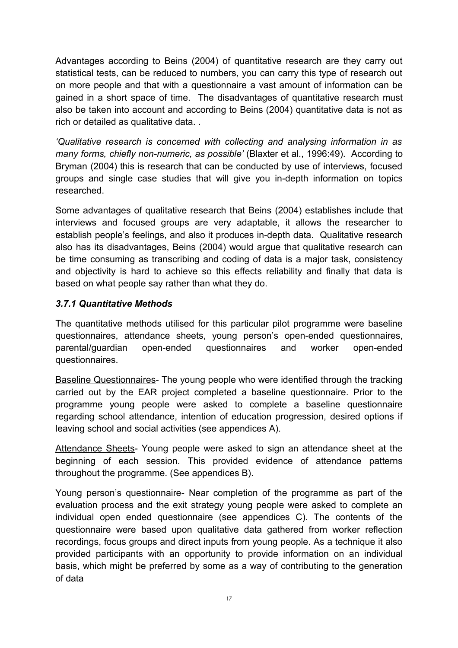Advantages according to Beins (2004) of quantitative research are they carry out statistical tests, can be reduced to numbers, you can carry this type of research out on more people and that with a questionnaire a vast amount of information can be gained in a short space of time. The disadvantages of quantitative research must also be taken into account and according to Beins (2004) quantitative data is not as rich or detailed as qualitative data. .

*'Qualitative research is concerned with collecting and analysing information in as many forms, chiefly non-numeric, as possible'* (Blaxter et al., 1996:49). According to Bryman (2004) this is research that can be conducted by use of interviews, focused groups and single case studies that will give you in-depth information on topics researched.

Some advantages of qualitative research that Beins (2004) establishes include that interviews and focused groups are very adaptable, it allows the researcher to establish people's feelings, and also it produces in-depth data. Qualitative research also has its disadvantages, Beins (2004) would argue that qualitative research can be time consuming as transcribing and coding of data is a major task, consistency and objectivity is hard to achieve so this effects reliability and finally that data is based on what people say rather than what they do.

#### *3.7.1 Quantitative Methods*

The quantitative methods utilised for this particular pilot programme were baseline questionnaires, attendance sheets, young person's open-ended questionnaires, parental/guardian open-ended questionnaires and worker open-ended questionnaires.

Baseline Questionnaires- The young people who were identified through the tracking carried out by the EAR project completed a baseline questionnaire. Prior to the programme young people were asked to complete a baseline questionnaire regarding school attendance, intention of education progression, desired options if leaving school and social activities (see appendices A).

Attendance Sheets- Young people were asked to sign an attendance sheet at the beginning of each session. This provided evidence of attendance patterns throughout the programme. (See appendices B).

Young person's questionnaire- Near completion of the programme as part of the evaluation process and the exit strategy young people were asked to complete an individual open ended questionnaire (see appendices C). The contents of the questionnaire were based upon qualitative data gathered from worker reflection recordings, focus groups and direct inputs from young people. As a technique it also provided participants with an opportunity to provide information on an individual basis, which might be preferred by some as a way of contributing to the generation of data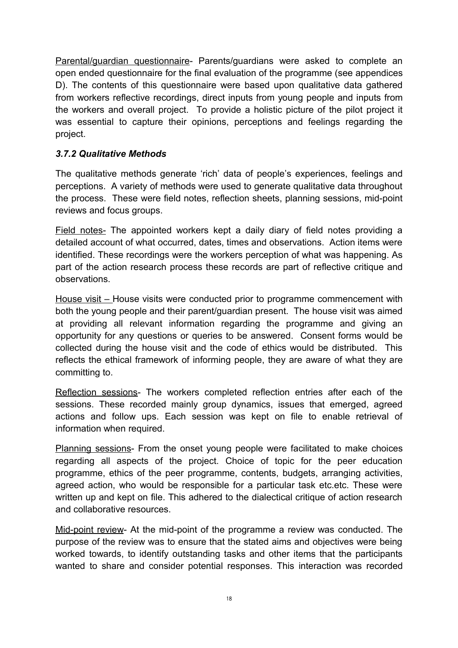Parental/guardian questionnaire- Parents/guardians were asked to complete an open ended questionnaire for the final evaluation of the programme (see appendices D). The contents of this questionnaire were based upon qualitative data gathered from workers reflective recordings, direct inputs from young people and inputs from the workers and overall project. To provide a holistic picture of the pilot project it was essential to capture their opinions, perceptions and feelings regarding the project.

## *3.7.2 Qualitative Methods*

The qualitative methods generate 'rich' data of people's experiences, feelings and perceptions. A variety of methods were used to generate qualitative data throughout the process. These were field notes, reflection sheets, planning sessions, mid-point reviews and focus groups.

Field notes - The appointed workers kept a daily diary of field notes providing a detailed account of what occurred, dates, times and observations. Action items were identified. These recordings were the workers perception of what was happening. As part of the action research process these records are part of reflective critique and observations.

House visit – House visits were conducted prior to programme commencement with both the young people and their parent/guardian present. The house visit was aimed at providing all relevant information regarding the programme and giving an opportunity for any questions or queries to be answered. Consent forms would be collected during the house visit and the code of ethics would be distributed. This reflects the ethical framework of informing people, they are aware of what they are committing to.

Reflection sessions- The workers completed reflection entries after each of the sessions. These recorded mainly group dynamics, issues that emerged, agreed actions and follow ups. Each session was kept on file to enable retrieval of information when required.

Planning sessions- From the onset young people were facilitated to make choices regarding all aspects of the project. Choice of topic for the peer education programme, ethics of the peer programme, contents, budgets, arranging activities, agreed action, who would be responsible for a particular task etc.etc. These were written up and kept on file. This adhered to the dialectical critique of action research and collaborative resources.

Mid-point review- At the mid-point of the programme a review was conducted. The purpose of the review was to ensure that the stated aims and objectives were being worked towards, to identify outstanding tasks and other items that the participants wanted to share and consider potential responses. This interaction was recorded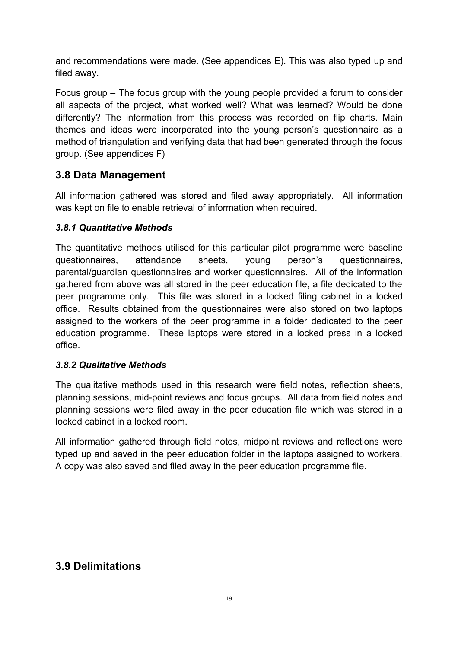and recommendations were made. (See appendices E). This was also typed up and filed away.

Focus group – The focus group with the young people provided a forum to consider all aspects of the project, what worked well? What was learned? Would be done differently? The information from this process was recorded on flip charts. Main themes and ideas were incorporated into the young person's questionnaire as a method of triangulation and verifying data that had been generated through the focus group. (See appendices F)

# **3.8 Data Management**

All information gathered was stored and filed away appropriately. All information was kept on file to enable retrieval of information when required.

## *3.8.1 Quantitative Methods*

The quantitative methods utilised for this particular pilot programme were baseline questionnaires, attendance sheets, young person's questionnaires, parental/guardian questionnaires and worker questionnaires. All of the information gathered from above was all stored in the peer education file, a file dedicated to the peer programme only. This file was stored in a locked filing cabinet in a locked office. Results obtained from the questionnaires were also stored on two laptops assigned to the workers of the peer programme in a folder dedicated to the peer education programme. These laptops were stored in a locked press in a locked office.

#### *3.8.2 Qualitative Methods*

The qualitative methods used in this research were field notes, reflection sheets, planning sessions, mid-point reviews and focus groups. All data from field notes and planning sessions were filed away in the peer education file which was stored in a locked cabinet in a locked room.

All information gathered through field notes, midpoint reviews and reflections were typed up and saved in the peer education folder in the laptops assigned to workers. A copy was also saved and filed away in the peer education programme file.

# **3.9 Delimitations**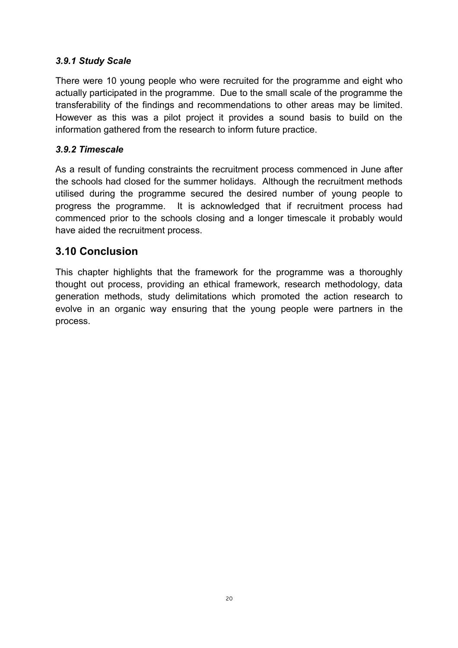## *3.9.1 Study Scale*

There were 10 young people who were recruited for the programme and eight who actually participated in the programme. Due to the small scale of the programme the transferability of the findings and recommendations to other areas may be limited. However as this was a pilot project it provides a sound basis to build on the information gathered from the research to inform future practice.

## *3.9.2 Timescale*

As a result of funding constraints the recruitment process commenced in June after the schools had closed for the summer holidays. Although the recruitment methods utilised during the programme secured the desired number of young people to progress the programme. It is acknowledged that if recruitment process had commenced prior to the schools closing and a longer timescale it probably would have aided the recruitment process.

# **3.10 Conclusion**

This chapter highlights that the framework for the programme was a thoroughly thought out process, providing an ethical framework, research methodology, data generation methods, study delimitations which promoted the action research to evolve in an organic way ensuring that the young people were partners in the process.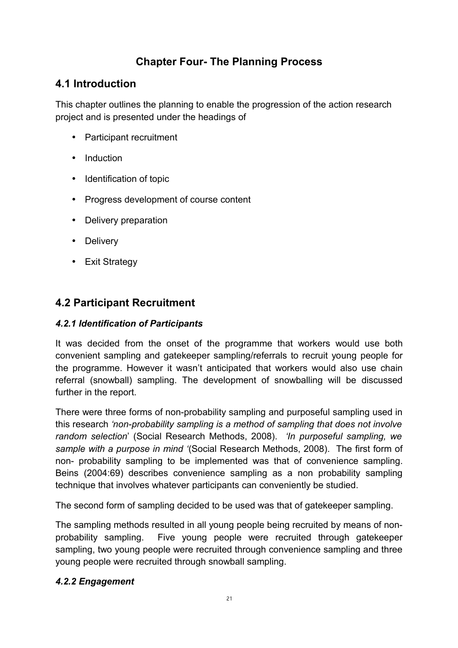# **Chapter Four- The Planning Process**

# **4.1 Introduction**

This chapter outlines the planning to enable the progression of the action research project and is presented under the headings of

- Participant recruitment
- Induction
- Identification of topic
- Progress development of course content
- Delivery preparation
- Delivery
- Exit Strategy

# **4.2 Participant Recruitment**

#### *4.2.1 Identification of Participants*

It was decided from the onset of the programme that workers would use both convenient sampling and gatekeeper sampling/referrals to recruit young people for the programme. However it wasn't anticipated that workers would also use chain referral (snowball) sampling. The development of snowballing will be discussed further in the report.

There were three forms of non-probability sampling and purposeful sampling used in this research *'non-probability sampling is a method of sampling that does not involve random selection*' (Social Research Methods, 2008). *'In purposeful sampling, we sample with a purpose in mind '*(Social Research Methods, 2008). The first form of non- probability sampling to be implemented was that of convenience sampling. Beins (2004:69) describes convenience sampling as a non probability sampling technique that involves whatever participants can conveniently be studied.

The second form of sampling decided to be used was that of gatekeeper sampling.

The sampling methods resulted in all young people being recruited by means of nonprobability sampling. Five young people were recruited through gatekeeper sampling, two young people were recruited through convenience sampling and three young people were recruited through snowball sampling.

#### *4.2.2 Engagement*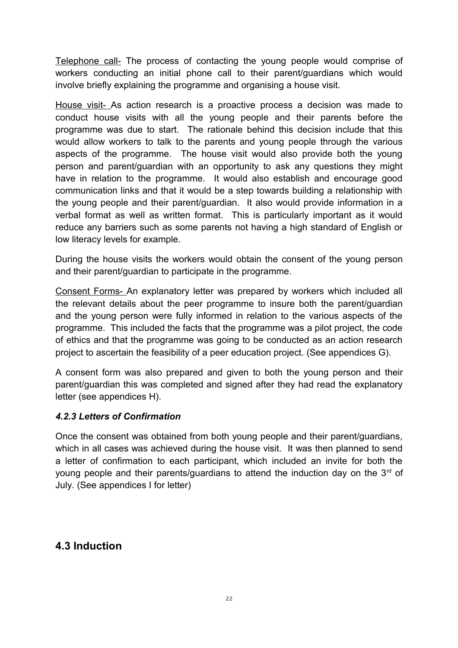Telephone call- The process of contacting the young people would comprise of workers conducting an initial phone call to their parent/guardians which would involve briefly explaining the programme and organising a house visit.

House visit- As action research is a proactive process a decision was made to conduct house visits with all the young people and their parents before the programme was due to start. The rationale behind this decision include that this would allow workers to talk to the parents and young people through the various aspects of the programme. The house visit would also provide both the young person and parent/guardian with an opportunity to ask any questions they might have in relation to the programme. It would also establish and encourage good communication links and that it would be a step towards building a relationship with the young people and their parent/guardian. It also would provide information in a verbal format as well as written format. This is particularly important as it would reduce any barriers such as some parents not having a high standard of English or low literacy levels for example.

During the house visits the workers would obtain the consent of the young person and their parent/guardian to participate in the programme.

Consent Forms- An explanatory letter was prepared by workers which included all the relevant details about the peer programme to insure both the parent/guardian and the young person were fully informed in relation to the various aspects of the programme. This included the facts that the programme was a pilot project, the code of ethics and that the programme was going to be conducted as an action research project to ascertain the feasibility of a peer education project. (See appendices G).

A consent form was also prepared and given to both the young person and their parent/guardian this was completed and signed after they had read the explanatory letter (see appendices H).

#### *4.2.3 Letters of Confirmation*

Once the consent was obtained from both young people and their parent/guardians, which in all cases was achieved during the house visit. It was then planned to send a letter of confirmation to each participant, which included an invite for both the young people and their parents/guardians to attend the induction day on the  $3<sup>rd</sup>$  of July. (See appendices I for letter)

## **4.3 Induction**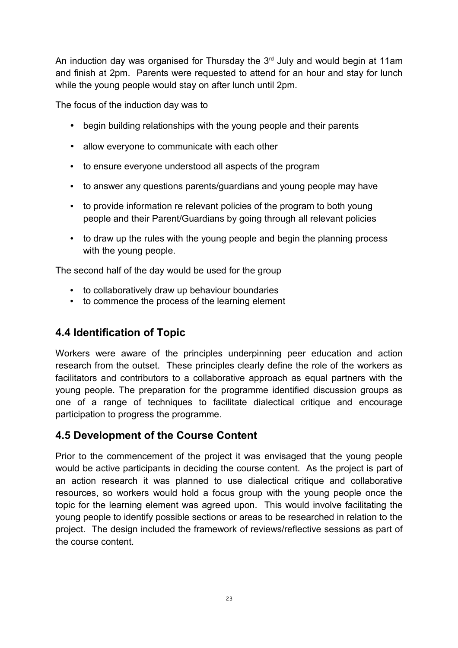An induction day was organised for Thursday the  $3<sup>rd</sup>$  July and would begin at 11am and finish at 2pm. Parents were requested to attend for an hour and stay for lunch while the young people would stay on after lunch until 2pm.

The focus of the induction day was to

- begin building relationships with the young people and their parents
- allow everyone to communicate with each other
- to ensure everyone understood all aspects of the program
- to answer any questions parents/guardians and young people may have
- to provide information re relevant policies of the program to both young people and their Parent/Guardians by going through all relevant policies
- to draw up the rules with the young people and begin the planning process with the young people.

The second half of the day would be used for the group

- to collaboratively draw up behaviour boundaries
- to commence the process of the learning element

# **4.4 Identification of Topic**

Workers were aware of the principles underpinning peer education and action research from the outset. These principles clearly define the role of the workers as facilitators and contributors to a collaborative approach as equal partners with the young people. The preparation for the programme identified discussion groups as one of a range of techniques to facilitate dialectical critique and encourage participation to progress the programme.

# **4.5 Development of the Course Content**

Prior to the commencement of the project it was envisaged that the young people would be active participants in deciding the course content. As the project is part of an action research it was planned to use dialectical critique and collaborative resources, so workers would hold a focus group with the young people once the topic for the learning element was agreed upon. This would involve facilitating the young people to identify possible sections or areas to be researched in relation to the project. The design included the framework of reviews/reflective sessions as part of the course content.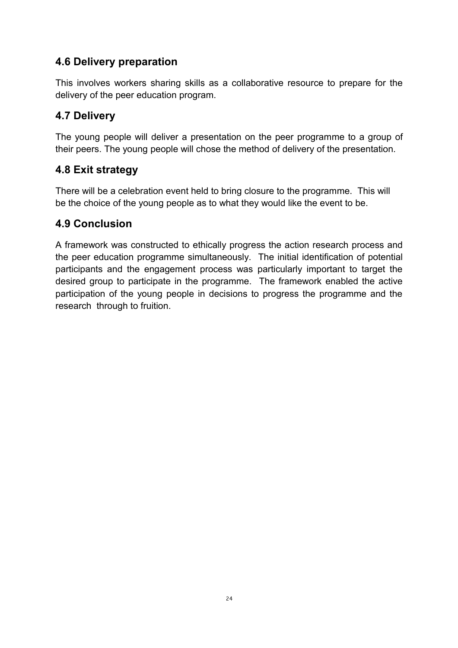# **4.6 Delivery preparation**

This involves workers sharing skills as a collaborative resource to prepare for the delivery of the peer education program.

# **4.7 Delivery**

The young people will deliver a presentation on the peer programme to a group of their peers. The young people will chose the method of delivery of the presentation.

# **4.8 Exit strategy**

There will be a celebration event held to bring closure to the programme. This will be the choice of the young people as to what they would like the event to be.

## **4.9 Conclusion**

A framework was constructed to ethically progress the action research process and the peer education programme simultaneously. The initial identification of potential participants and the engagement process was particularly important to target the desired group to participate in the programme. The framework enabled the active participation of the young people in decisions to progress the programme and the research through to fruition.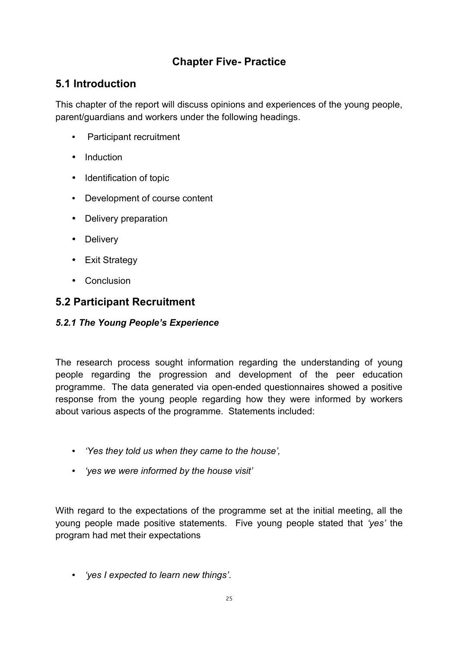# **Chapter Five- Practice**

# **5.1 Introduction**

This chapter of the report will discuss opinions and experiences of the young people, parent/guardians and workers under the following headings.

- Participant recruitment
- Induction
- Identification of topic
- Development of course content
- Delivery preparation
- Delivery
- Exit Strategy
- Conclusion

# **5.2 Participant Recruitment**

### *5.2.1 The Young People's Experience*

The research process sought information regarding the understanding of young people regarding the progression and development of the peer education programme. The data generated via open-ended questionnaires showed a positive response from the young people regarding how they were informed by workers about various aspects of the programme. Statements included:

- *'Yes they told us when they came to the house',*
- *'yes we were informed by the house visit'*

With regard to the expectations of the programme set at the initial meeting, all the young people made positive statements. Five young people stated that *'yes'* the program had met their expectations

• *'yes I expected to learn new things'*.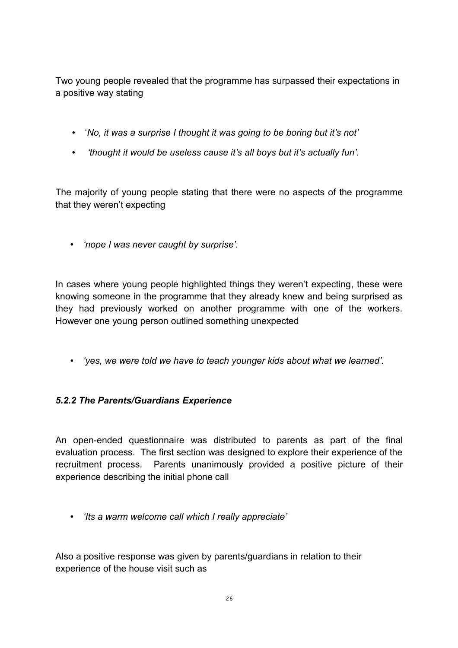Two young people revealed that the programme has surpassed their expectations in a positive way stating

- '*No, it was a surprise I thought it was going to be boring but it's not'*
- • *'thought it would be useless cause it's all boys but it's actually fun'.*

The majority of young people stating that there were no aspects of the programme that they weren't expecting

• *'nope I was never caught by surprise'.* 

In cases where young people highlighted things they weren't expecting, these were knowing someone in the programme that they already knew and being surprised as they had previously worked on another programme with one of the workers. However one young person outlined something unexpected

• *'yes, we were told we have to teach younger kids about what we learned'.*

## *5.2.2 The Parents/Guardians Experience*

An open-ended questionnaire was distributed to parents as part of the final evaluation process. The first section was designed to explore their experience of the recruitment process. Parents unanimously provided a positive picture of their experience describing the initial phone call

• *'Its a warm welcome call which I really appreciate'*

Also a positive response was given by parents/guardians in relation to their experience of the house visit such as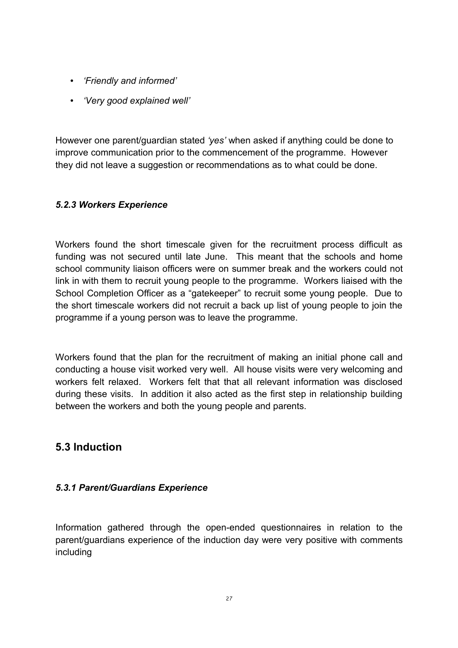- *'Friendly and informed'*
- *'Very good explained well'*

However one parent/guardian stated *'yes'* when asked if anything could be done to improve communication prior to the commencement of the programme. However they did not leave a suggestion or recommendations as to what could be done.

## *5.2.3 Workers Experience*

Workers found the short timescale given for the recruitment process difficult as funding was not secured until late June. This meant that the schools and home school community liaison officers were on summer break and the workers could not link in with them to recruit young people to the programme. Workers liaised with the School Completion Officer as a "gatekeeper" to recruit some young people. Due to the short timescale workers did not recruit a back up list of young people to join the programme if a young person was to leave the programme.

Workers found that the plan for the recruitment of making an initial phone call and conducting a house visit worked very well. All house visits were very welcoming and workers felt relaxed. Workers felt that that all relevant information was disclosed during these visits. In addition it also acted as the first step in relationship building between the workers and both the young people and parents.

# **5.3 Induction**

#### *5.3.1 Parent/Guardians Experience*

Information gathered through the open-ended questionnaires in relation to the parent/guardians experience of the induction day were very positive with comments including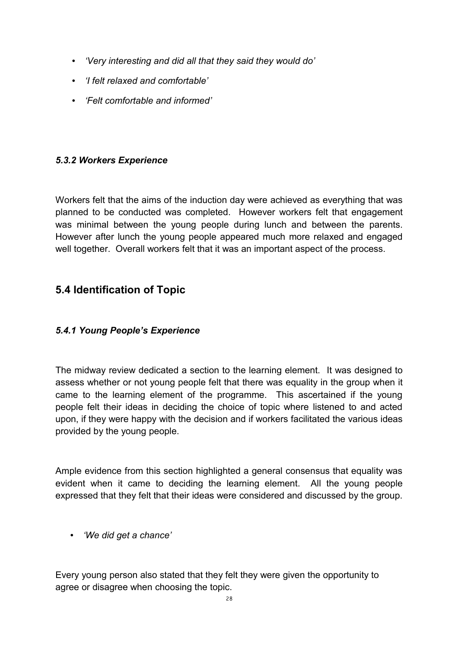- *'Very interesting and did all that they said they would do'*
- *'I felt relaxed and comfortable'*
- *'Felt comfortable and informed'*

### *5.3.2 Workers Experience*

Workers felt that the aims of the induction day were achieved as everything that was planned to be conducted was completed. However workers felt that engagement was minimal between the young people during lunch and between the parents. However after lunch the young people appeared much more relaxed and engaged well together. Overall workers felt that it was an important aspect of the process.

# **5.4 Identification of Topic**

#### *5.4.1 Young People's Experience*

The midway review dedicated a section to the learning element. It was designed to assess whether or not young people felt that there was equality in the group when it came to the learning element of the programme. This ascertained if the young people felt their ideas in deciding the choice of topic where listened to and acted upon, if they were happy with the decision and if workers facilitated the various ideas provided by the young people.

Ample evidence from this section highlighted a general consensus that equality was evident when it came to deciding the learning element. All the young people expressed that they felt that their ideas were considered and discussed by the group.

• *'We did get a chance'*

Every young person also stated that they felt they were given the opportunity to agree or disagree when choosing the topic.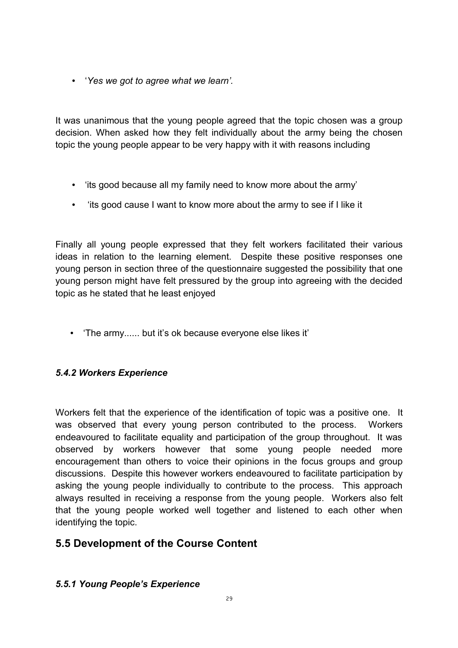• '*Yes we got to agree what we learn'.*

It was unanimous that the young people agreed that the topic chosen was a group decision. When asked how they felt individually about the army being the chosen topic the young people appear to be very happy with it with reasons including

- 'its good because all my family need to know more about the army'
- 'its good cause I want to know more about the army to see if I like it

Finally all young people expressed that they felt workers facilitated their various ideas in relation to the learning element. Despite these positive responses one young person in section three of the questionnaire suggested the possibility that one young person might have felt pressured by the group into agreeing with the decided topic as he stated that he least enjoyed

• 'The army...... but it's ok because everyone else likes it'

#### *5.4.2 Workers Experience*

Workers felt that the experience of the identification of topic was a positive one. It was observed that every young person contributed to the process. Workers endeavoured to facilitate equality and participation of the group throughout. It was observed by workers however that some young people needed more encouragement than others to voice their opinions in the focus groups and group discussions. Despite this however workers endeavoured to facilitate participation by asking the young people individually to contribute to the process. This approach always resulted in receiving a response from the young people. Workers also felt that the young people worked well together and listened to each other when identifying the topic.

# **5.5 Development of the Course Content**

#### *5.5.1 Young People's Experience*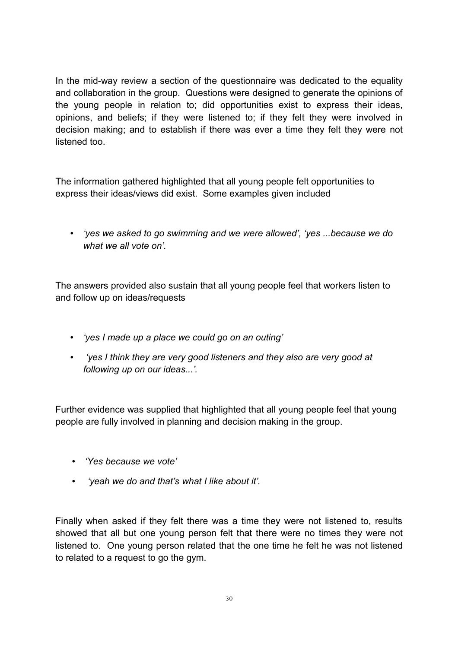In the mid-way review a section of the questionnaire was dedicated to the equality and collaboration in the group. Questions were designed to generate the opinions of the young people in relation to; did opportunities exist to express their ideas, opinions, and beliefs; if they were listened to; if they felt they were involved in decision making; and to establish if there was ever a time they felt they were not listened too.

The information gathered highlighted that all young people felt opportunities to express their ideas/views did exist. Some examples given included

• *'yes we asked to go swimming and we were allowed', 'yes ...because we do what we all vote on'.*

The answers provided also sustain that all young people feel that workers listen to and follow up on ideas/requests

- *'yes I made up a place we could go on an outing'*
- • *'yes I think they are very good listeners and they also are very good at following up on our ideas...'.*

Further evidence was supplied that highlighted that all young people feel that young people are fully involved in planning and decision making in the group.

- *'Yes because we vote'*
- • *'yeah we do and that's what I like about it'.*

Finally when asked if they felt there was a time they were not listened to, results showed that all but one young person felt that there were no times they were not listened to. One young person related that the one time he felt he was not listened to related to a request to go the gym.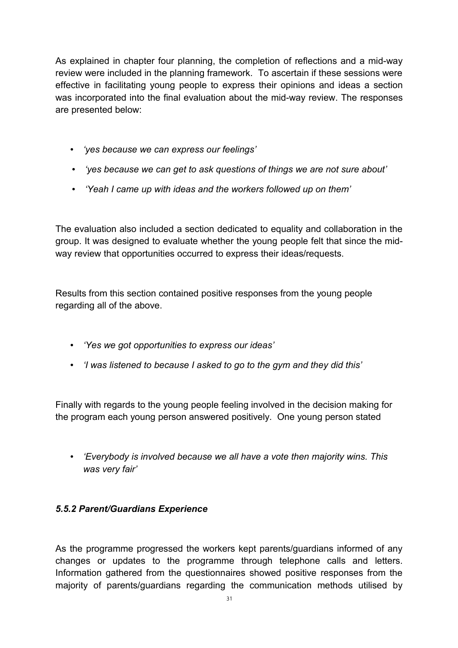As explained in chapter four planning, the completion of reflections and a mid-way review were included in the planning framework. To ascertain if these sessions were effective in facilitating young people to express their opinions and ideas a section was incorporated into the final evaluation about the mid-way review. The responses are presented below:

- *'yes because we can express our feelings'*
- *'yes because we can get to ask questions of things we are not sure about'*
- *'Yeah I came up with ideas and the workers followed up on them'*

The evaluation also included a section dedicated to equality and collaboration in the group. It was designed to evaluate whether the young people felt that since the midway review that opportunities occurred to express their ideas/requests.

Results from this section contained positive responses from the young people regarding all of the above.

- *'Yes we got opportunities to express our ideas'*
- *'I was listened to because I asked to go to the gym and they did this'*

Finally with regards to the young people feeling involved in the decision making for the program each young person answered positively. One young person stated

• *'Everybody is involved because we all have a vote then majority wins. This was very fair'*

## *5.5.2 Parent/Guardians Experience*

As the programme progressed the workers kept parents/guardians informed of any changes or updates to the programme through telephone calls and letters. Information gathered from the questionnaires showed positive responses from the majority of parents/guardians regarding the communication methods utilised by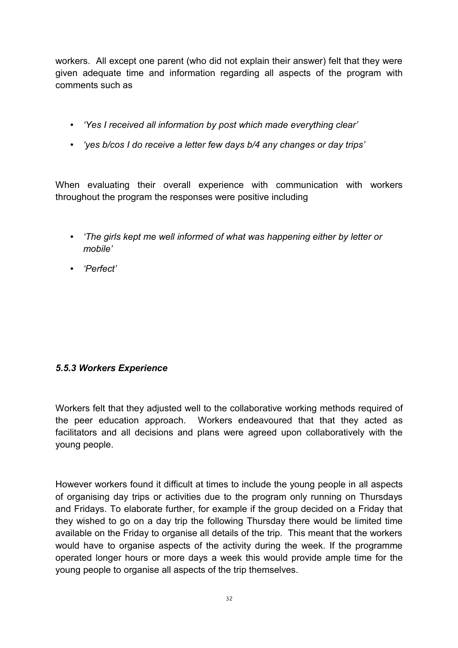workers. All except one parent (who did not explain their answer) felt that they were given adequate time and information regarding all aspects of the program with comments such as

- *'Yes I received all information by post which made everything clear'*
- *'yes b/cos I do receive a letter few days b/4 any changes or day trips'*

When evaluating their overall experience with communication with workers throughout the program the responses were positive including

- *'The girls kept me well informed of what was happening either by letter or mobile'*
- *'Perfect'*

#### *5.5.3 Workers Experience*

Workers felt that they adjusted well to the collaborative working methods required of the peer education approach. Workers endeavoured that that they acted as facilitators and all decisions and plans were agreed upon collaboratively with the young people.

However workers found it difficult at times to include the young people in all aspects of organising day trips or activities due to the program only running on Thursdays and Fridays. To elaborate further, for example if the group decided on a Friday that they wished to go on a day trip the following Thursday there would be limited time available on the Friday to organise all details of the trip. This meant that the workers would have to organise aspects of the activity during the week. If the programme operated longer hours or more days a week this would provide ample time for the young people to organise all aspects of the trip themselves.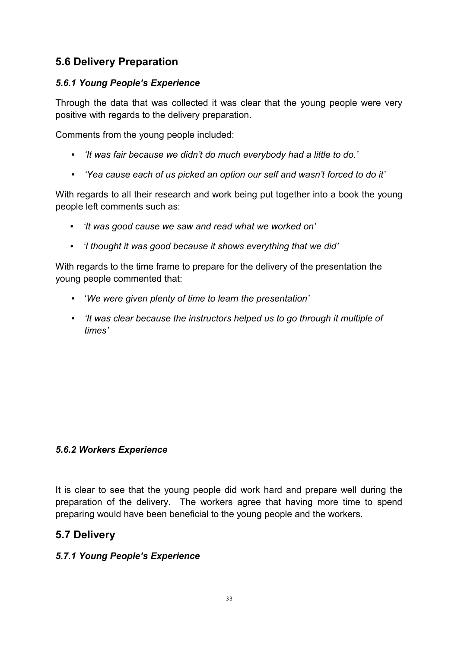# **5.6 Delivery Preparation**

### *5.6.1 Young People's Experience*

Through the data that was collected it was clear that the young people were very positive with regards to the delivery preparation.

Comments from the young people included:

- *'It was fair because we didn't do much everybody had a little to do.'*
- *'Yea cause each of us picked an option our self and wasn't forced to do it'*

With regards to all their research and work being put together into a book the young people left comments such as:

- *'It was good cause we saw and read what we worked on'*
- *'I thought it was good because it shows everything that we did'*

With regards to the time frame to prepare for the delivery of the presentation the young people commented that:

- '*We were given plenty of time to learn the presentation'*
- *'It was clear because the instructors helped us to go through it multiple of times'*

#### *5.6.2 Workers Experience*

It is clear to see that the young people did work hard and prepare well during the preparation of the delivery. The workers agree that having more time to spend preparing would have been beneficial to the young people and the workers.

## **5.7 Delivery**

#### *5.7.1 Young People's Experience*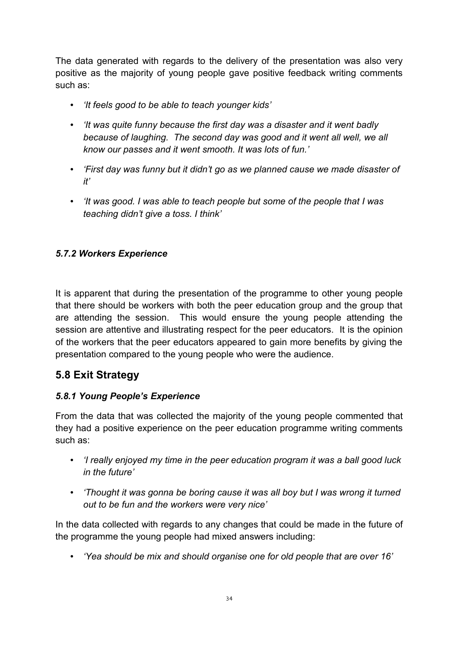The data generated with regards to the delivery of the presentation was also very positive as the majority of young people gave positive feedback writing comments such as:

- *'It feels good to be able to teach younger kids'*
- *'It was quite funny because the first day was a disaster and it went badly because of laughing. The second day was good and it went all well, we all know our passes and it went smooth. It was lots of fun.'*
- *'First day was funny but it didn't go as we planned cause we made disaster of it'*
- *'It was good. I was able to teach people but some of the people that I was teaching didn't give a toss. I think'*

## *5.7.2 Workers Experience*

It is apparent that during the presentation of the programme to other young people that there should be workers with both the peer education group and the group that are attending the session. This would ensure the young people attending the session are attentive and illustrating respect for the peer educators. It is the opinion of the workers that the peer educators appeared to gain more benefits by giving the presentation compared to the young people who were the audience.

# **5.8 Exit Strategy**

#### *5.8.1 Young People's Experience*

From the data that was collected the majority of the young people commented that they had a positive experience on the peer education programme writing comments such as:

- *'I really enjoyed my time in the peer education program it was a ball good luck in the future'*
- *'Thought it was gonna be boring cause it was all boy but I was wrong it turned out to be fun and the workers were very nice'*

In the data collected with regards to any changes that could be made in the future of the programme the young people had mixed answers including:

• *'Yea should be mix and should organise one for old people that are over 16'*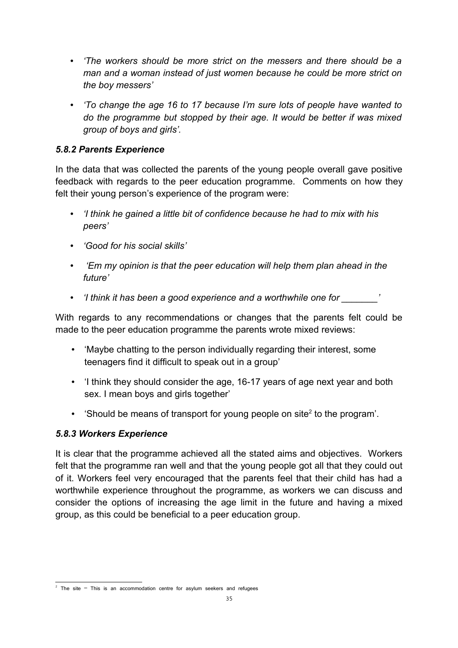- *'The workers should be more strict on the messers and there should be a man and a woman instead of just women because he could be more strict on the boy messers'*
- *'To change the age 16 to 17 because I'm sure lots of people have wanted to do the programme but stopped by their age. It would be better if was mixed group of boys and girls'.*

## *5.8.2 Parents Experience*

In the data that was collected the parents of the young people overall gave positive feedback with regards to the peer education programme. Comments on how they felt their young person's experience of the program were:

- *'I think he gained a little bit of confidence because he had to mix with his peers'*
- *'Good for his social skills'*
- • *'Em my opinion is that the peer education will help them plan ahead in the future'*
- *'I think it has been a good experience and a worthwhile one for \_\_\_\_\_\_\_'*

With regards to any recommendations or changes that the parents felt could be made to the peer education programme the parents wrote mixed reviews:

- 'Maybe chatting to the person individually regarding their interest, some teenagers find it difficult to speak out in a group'
- 'I think they should consider the age, 16-17 years of age next year and both sex. I mean boys and girls together'
- Should be means of transport for young people on site<sup>[2](#page-34-0)</sup> to the program'.

#### *5.8.3 Workers Experience*

It is clear that the programme achieved all the stated aims and objectives. Workers felt that the programme ran well and that the young people got all that they could out of it. Workers feel very encouraged that the parents feel that their child has had a worthwhile experience throughout the programme, as workers we can discuss and consider the options of increasing the age limit in the future and having a mixed group, as this could be beneficial to a peer education group.

<span id="page-34-0"></span> $2$  The site  $-$  This is an accommodation centre for asylum seekers and refugees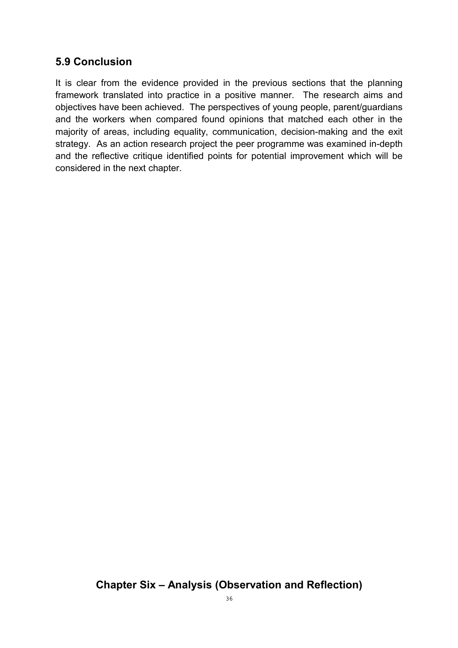## **5.9 Conclusion**

It is clear from the evidence provided in the previous sections that the planning framework translated into practice in a positive manner. The research aims and objectives have been achieved. The perspectives of young people, parent/guardians and the workers when compared found opinions that matched each other in the majority of areas, including equality, communication, decision-making and the exit strategy. As an action research project the peer programme was examined in-depth and the reflective critique identified points for potential improvement which will be considered in the next chapter.

# **Chapter Six – Analysis (Observation and Reflection)**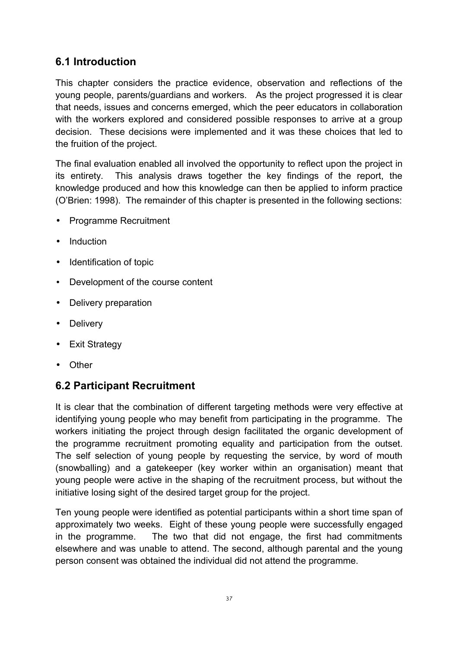# **6.1 Introduction**

This chapter considers the practice evidence, observation and reflections of the young people, parents/guardians and workers. As the project progressed it is clear that needs, issues and concerns emerged, which the peer educators in collaboration with the workers explored and considered possible responses to arrive at a group decision. These decisions were implemented and it was these choices that led to the fruition of the project.

The final evaluation enabled all involved the opportunity to reflect upon the project in its entirety. This analysis draws together the key findings of the report, the knowledge produced and how this knowledge can then be applied to inform practice (O'Brien: 1998). The remainder of this chapter is presented in the following sections:

- Programme Recruitment
- Induction
- Identification of topic
- Development of the course content
- Delivery preparation
- Delivery
- Exit Strategy
- Other

# **6.2 Participant Recruitment**

It is clear that the combination of different targeting methods were very effective at identifying young people who may benefit from participating in the programme. The workers initiating the project through design facilitated the organic development of the programme recruitment promoting equality and participation from the outset. The self selection of young people by requesting the service, by word of mouth (snowballing) and a gatekeeper (key worker within an organisation) meant that young people were active in the shaping of the recruitment process, but without the initiative losing sight of the desired target group for the project.

Ten young people were identified as potential participants within a short time span of approximately two weeks. Eight of these young people were successfully engaged in the programme. The two that did not engage, the first had commitments elsewhere and was unable to attend. The second, although parental and the young person consent was obtained the individual did not attend the programme.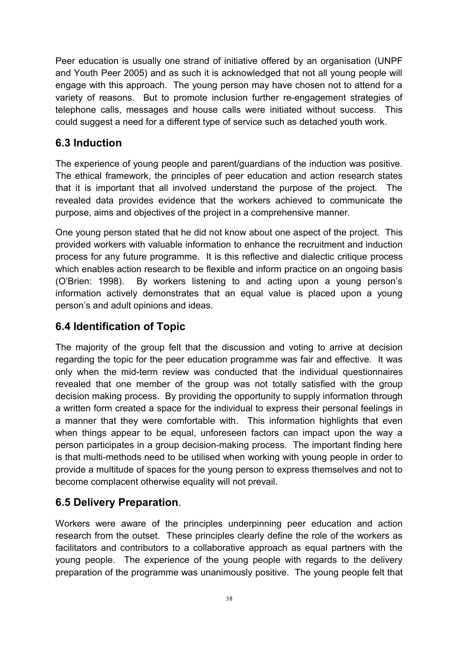Peer education is usually one strand of initiative offered by an organisation (UNPF and Youth Peer 2005) and as such it is acknowledged that not all young people will engage with this approach. The young person may have chosen not to attend for a variety of reasons. But to promote inclusion further re-engagement strategies of telephone calls, messages and house calls were initiated without success. This could suggest a need for a different type of service such as detached youth work.

# **6.3 Induction**

The experience of young people and parent/guardians of the induction was positive. The ethical framework, the principles of peer education and action research states that it is important that all involved understand the purpose of the project. The revealed data provides evidence that the workers achieved to communicate the purpose, aims and objectives of the project in a comprehensive manner.

One young person stated that he did not know about one aspect of the project. This provided workers with valuable information to enhance the recruitment and induction process for any future programme. It is this reflective and dialectic critique process which enables action research to be flexible and inform practice on an ongoing basis (O'Brien: 1998). By workers listening to and acting upon a young person's information actively demonstrates that an equal value is placed upon a young person's and adult opinions and ideas.

# **6.4 Identification of Topic**

The majority of the group felt that the discussion and voting to arrive at decision regarding the topic for the peer education programme was fair and effective. It was only when the mid-term review was conducted that the individual questionnaires revealed that one member of the group was not totally satisfied with the group decision making process. By providing the opportunity to supply information through a written form created a space for the individual to express their personal feelings in a manner that they were comfortable with. This information highlights that even when things appear to be equal, unforeseen factors can impact upon the way a person participates in a group decision-making process. The important finding here is that multi-methods need to be utilised when working with young people in order to provide a multitude of spaces for the young person to express themselves and not to become complacent otherwise equality will not prevail.

# **6.5 Delivery Preparation**.

Workers were aware of the principles underpinning peer education and action research from the outset. These principles clearly define the role of the workers as facilitators and contributors to a collaborative approach as equal partners with the young people. The experience of the young people with regards to the delivery preparation of the programme was unanimously positive. The young people felt that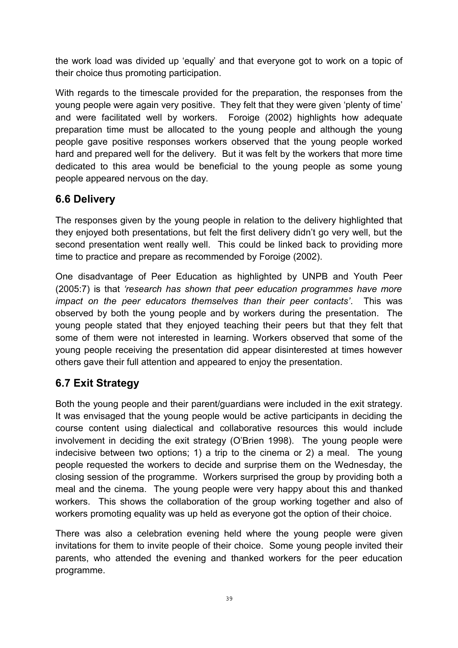the work load was divided up 'equally' and that everyone got to work on a topic of their choice thus promoting participation.

With regards to the timescale provided for the preparation, the responses from the young people were again very positive. They felt that they were given 'plenty of time' and were facilitated well by workers. Foroige (2002) highlights how adequate preparation time must be allocated to the young people and although the young people gave positive responses workers observed that the young people worked hard and prepared well for the delivery. But it was felt by the workers that more time dedicated to this area would be beneficial to the young people as some young people appeared nervous on the day.

# **6.6 Delivery**

The responses given by the young people in relation to the delivery highlighted that they enjoyed both presentations, but felt the first delivery didn't go very well, but the second presentation went really well. This could be linked back to providing more time to practice and prepare as recommended by Foroige (2002).

One disadvantage of Peer Education as highlighted by UNPB and Youth Peer (2005:7) is that *'research has shown that peer education programmes have more impact on the peer educators themselves than their peer contacts'*. This was observed by both the young people and by workers during the presentation. The young people stated that they enjoyed teaching their peers but that they felt that some of them were not interested in learning. Workers observed that some of the young people receiving the presentation did appear disinterested at times however others gave their full attention and appeared to enjoy the presentation.

# **6.7 Exit Strategy**

Both the young people and their parent/guardians were included in the exit strategy. It was envisaged that the young people would be active participants in deciding the course content using dialectical and collaborative resources this would include involvement in deciding the exit strategy (O'Brien 1998). The young people were indecisive between two options; 1) a trip to the cinema or 2) a meal. The young people requested the workers to decide and surprise them on the Wednesday, the closing session of the programme. Workers surprised the group by providing both a meal and the cinema. The young people were very happy about this and thanked workers. This shows the collaboration of the group working together and also of workers promoting equality was up held as everyone got the option of their choice.

There was also a celebration evening held where the young people were given invitations for them to invite people of their choice. Some young people invited their parents, who attended the evening and thanked workers for the peer education programme.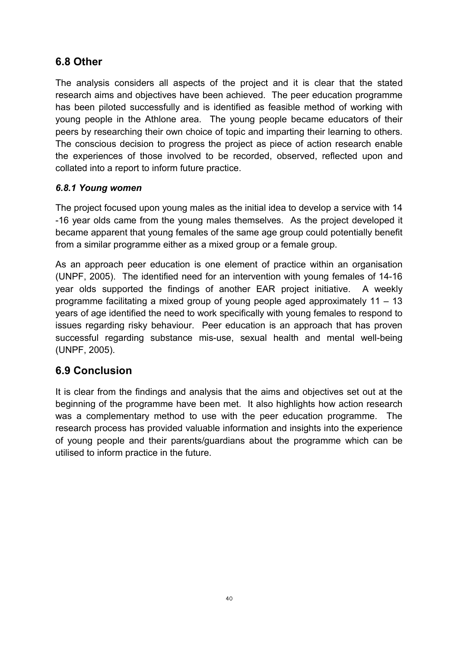# **6.8 Other**

The analysis considers all aspects of the project and it is clear that the stated research aims and objectives have been achieved. The peer education programme has been piloted successfully and is identified as feasible method of working with young people in the Athlone area. The young people became educators of their peers by researching their own choice of topic and imparting their learning to others. The conscious decision to progress the project as piece of action research enable the experiences of those involved to be recorded, observed, reflected upon and collated into a report to inform future practice.

## *6.8.1 Young women*

The project focused upon young males as the initial idea to develop a service with 14 -16 year olds came from the young males themselves. As the project developed it became apparent that young females of the same age group could potentially benefit from a similar programme either as a mixed group or a female group.

As an approach peer education is one element of practice within an organisation (UNPF, 2005). The identified need for an intervention with young females of 14-16 year olds supported the findings of another EAR project initiative. A weekly programme facilitating a mixed group of young people aged approximately 11 – 13 years of age identified the need to work specifically with young females to respond to issues regarding risky behaviour. Peer education is an approach that has proven successful regarding substance mis-use, sexual health and mental well-being (UNPF, 2005).

# **6.9 Conclusion**

It is clear from the findings and analysis that the aims and objectives set out at the beginning of the programme have been met. It also highlights how action research was a complementary method to use with the peer education programme. The research process has provided valuable information and insights into the experience of young people and their parents/guardians about the programme which can be utilised to inform practice in the future.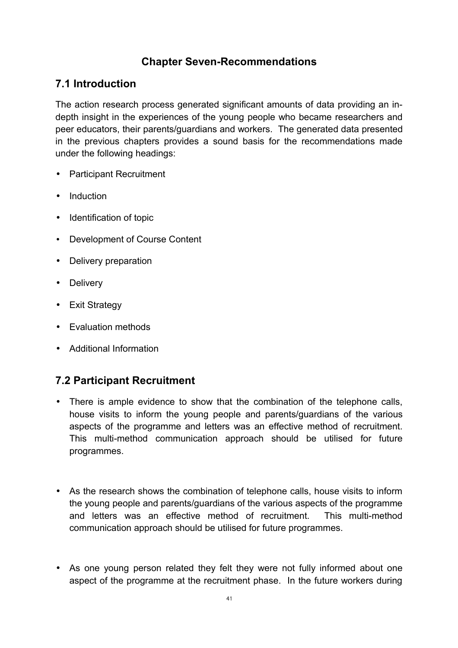# **Chapter Seven-Recommendations**

## **7.1 Introduction**

The action research process generated significant amounts of data providing an indepth insight in the experiences of the young people who became researchers and peer educators, their parents/guardians and workers. The generated data presented in the previous chapters provides a sound basis for the recommendations made under the following headings:

- Participant Recruitment
- Induction
- Identification of topic
- Development of Course Content
- Delivery preparation
- Delivery
- Exit Strategy
- Evaluation methods
- Additional Information

# **7.2 Participant Recruitment**

- There is ample evidence to show that the combination of the telephone calls, house visits to inform the young people and parents/guardians of the various aspects of the programme and letters was an effective method of recruitment. This multi-method communication approach should be utilised for future programmes.
- As the research shows the combination of telephone calls, house visits to inform the young people and parents/guardians of the various aspects of the programme and letters was an effective method of recruitment. This multi-method communication approach should be utilised for future programmes.
- As one young person related they felt they were not fully informed about one aspect of the programme at the recruitment phase. In the future workers during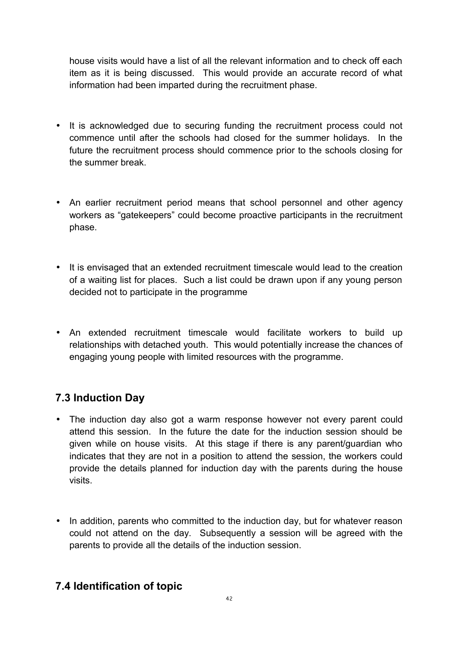house visits would have a list of all the relevant information and to check off each item as it is being discussed. This would provide an accurate record of what information had been imparted during the recruitment phase.

- It is acknowledged due to securing funding the recruitment process could not commence until after the schools had closed for the summer holidays. In the future the recruitment process should commence prior to the schools closing for the summer break.
- An earlier recruitment period means that school personnel and other agency workers as "gatekeepers" could become proactive participants in the recruitment phase.
- It is envisaged that an extended recruitment timescale would lead to the creation of a waiting list for places. Such a list could be drawn upon if any young person decided not to participate in the programme
- An extended recruitment timescale would facilitate workers to build up relationships with detached youth. This would potentially increase the chances of engaging young people with limited resources with the programme.

# **7.3 Induction Day**

- The induction day also got a warm response however not every parent could attend this session. In the future the date for the induction session should be given while on house visits. At this stage if there is any parent/guardian who indicates that they are not in a position to attend the session, the workers could provide the details planned for induction day with the parents during the house visits.
- In addition, parents who committed to the induction day, but for whatever reason could not attend on the day. Subsequently a session will be agreed with the parents to provide all the details of the induction session.

# **7.4 Identification of topic**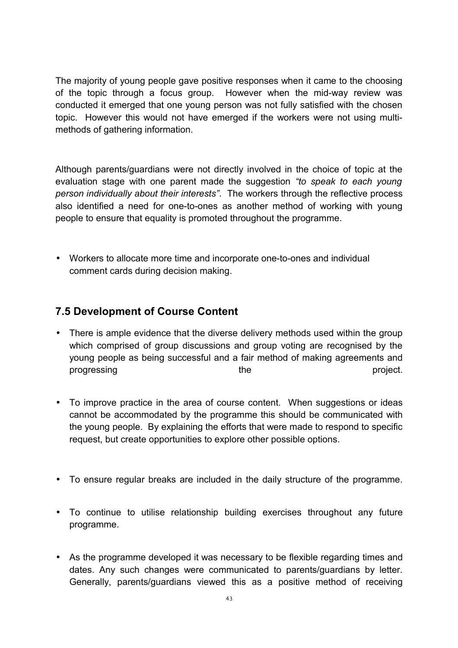The majority of young people gave positive responses when it came to the choosing of the topic through a focus group. However when the mid-way review was conducted it emerged that one young person was not fully satisfied with the chosen topic. However this would not have emerged if the workers were not using multimethods of gathering information.

Although parents/guardians were not directly involved in the choice of topic at the evaluation stage with one parent made the suggestion *"to speak to each young person individually about their interests"*. The workers through the reflective process also identified a need for one-to-ones as another method of working with young people to ensure that equality is promoted throughout the programme.

• Workers to allocate more time and incorporate one-to-ones and individual comment cards during decision making.

# **7.5 Development of Course Content**

- There is ample evidence that the diverse delivery methods used within the group which comprised of group discussions and group voting are recognised by the young people as being successful and a fair method of making agreements and progressing the project.
- To improve practice in the area of course content. When suggestions or ideas cannot be accommodated by the programme this should be communicated with the young people. By explaining the efforts that were made to respond to specific request, but create opportunities to explore other possible options.
- To ensure regular breaks are included in the daily structure of the programme.
- To continue to utilise relationship building exercises throughout any future programme.
- As the programme developed it was necessary to be flexible regarding times and dates. Any such changes were communicated to parents/guardians by letter. Generally, parents/guardians viewed this as a positive method of receiving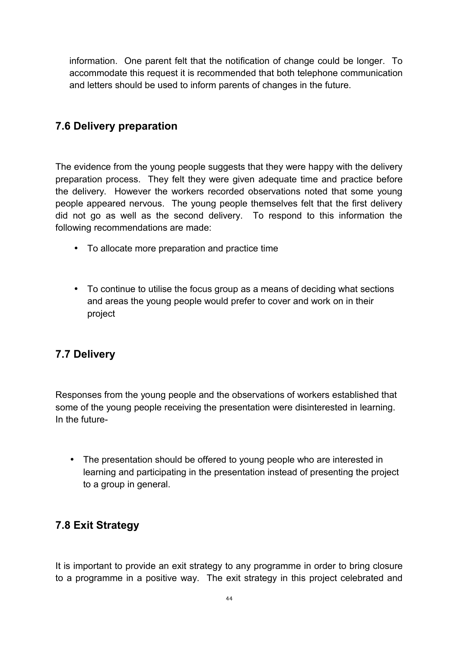information. One parent felt that the notification of change could be longer. To accommodate this request it is recommended that both telephone communication and letters should be used to inform parents of changes in the future.

## **7.6 Delivery preparation**

The evidence from the young people suggests that they were happy with the delivery preparation process. They felt they were given adequate time and practice before the delivery. However the workers recorded observations noted that some young people appeared nervous. The young people themselves felt that the first delivery did not go as well as the second delivery. To respond to this information the following recommendations are made:

- To allocate more preparation and practice time
- To continue to utilise the focus group as a means of deciding what sections and areas the young people would prefer to cover and work on in their project

# **7.7 Delivery**

Responses from the young people and the observations of workers established that some of the young people receiving the presentation were disinterested in learning. In the future-

• The presentation should be offered to young people who are interested in learning and participating in the presentation instead of presenting the project to a group in general.

## **7.8 Exit Strategy**

It is important to provide an exit strategy to any programme in order to bring closure to a programme in a positive way. The exit strategy in this project celebrated and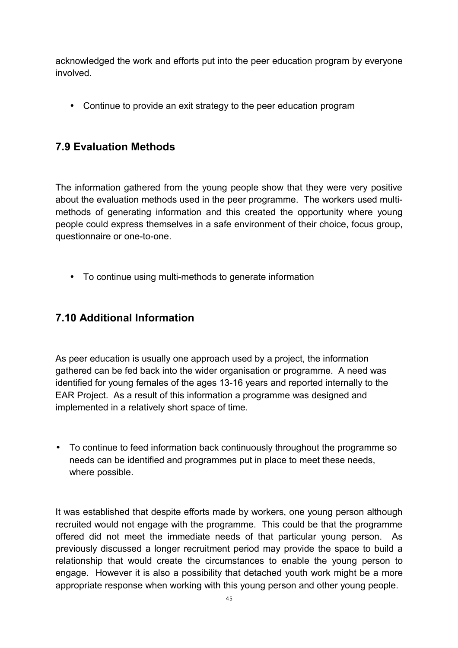acknowledged the work and efforts put into the peer education program by everyone involved.

• Continue to provide an exit strategy to the peer education program

# **7.9 Evaluation Methods**

The information gathered from the young people show that they were very positive about the evaluation methods used in the peer programme. The workers used multimethods of generating information and this created the opportunity where young people could express themselves in a safe environment of their choice, focus group, questionnaire or one-to-one.

• To continue using multi-methods to generate information

# **7.10 Additional Information**

As peer education is usually one approach used by a project, the information gathered can be fed back into the wider organisation or programme. A need was identified for young females of the ages 13-16 years and reported internally to the EAR Project. As a result of this information a programme was designed and implemented in a relatively short space of time.

• To continue to feed information back continuously throughout the programme so needs can be identified and programmes put in place to meet these needs, where possible.

It was established that despite efforts made by workers, one young person although recruited would not engage with the programme. This could be that the programme offered did not meet the immediate needs of that particular young person. As previously discussed a longer recruitment period may provide the space to build a relationship that would create the circumstances to enable the young person to engage. However it is also a possibility that detached youth work might be a more appropriate response when working with this young person and other young people.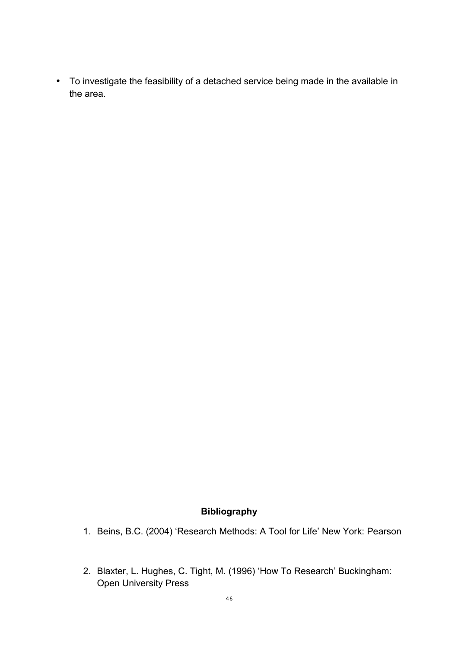• To investigate the feasibility of a detached service being made in the available in the area.

## **Bibliography**

- 1. Beins, B.C. (2004) 'Research Methods: A Tool for Life' New York: Pearson
- 2. Blaxter, L. Hughes, C. Tight, M. (1996) 'How To Research' Buckingham: Open University Press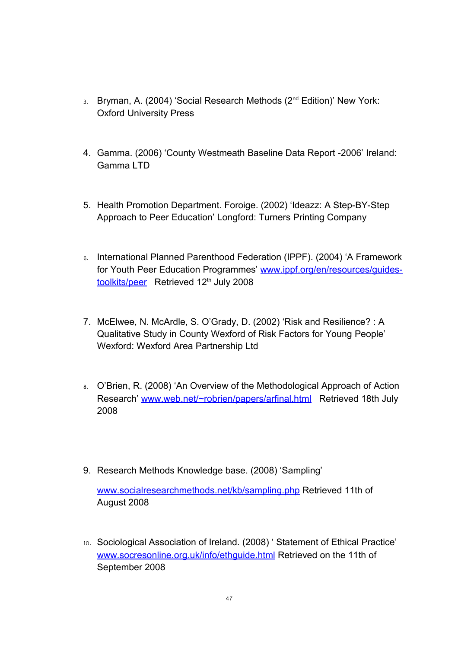- 3. Bryman, A. (2004) 'Social Research Methods (2<sup>nd</sup> Edition)' New York: Oxford University Press
- 4. Gamma. (2006) 'County Westmeath Baseline Data Report -2006' Ireland: Gamma LTD
- 5. Health Promotion Department. Foroige. (2002) 'Ideazz: A Step-BY-Step Approach to Peer Education' Longford: Turners Printing Company
- 6. International Planned Parenthood Federation (IPPF). (2004) 'A Framework for Youth Peer Education Programmes' [www.ippf.org/en/resources/guides](http://www.ippf.org/en/resources/guides-toolkits/peer)[toolkits/peer](http://www.ippf.org/en/resources/guides-toolkits/peer) Retrieved 12<sup>th</sup> July 2008
- 7. McElwee, N. McArdle, S. O'Grady, D. (2002) 'Risk and Resilience? : A Qualitative Study in County Wexford of Risk Factors for Young People' Wexford: Wexford Area Partnership Ltd
- 8. O'Brien, R. (2008) 'An Overview of the Methodological Approach of Action Research' [www.web.net/~robrien/papers/arfinal.html](http://www.web.net/~robrien/papers/arfinal.html) Retrieved 18th July 2008
- 9. Research Methods Knowledge base. (2008) 'Sampling'

[www.socialresearchmethods.net/kb/sampling.php](http://www.socialresearchmethods.net/kb/sampling.php) Retrieved 11th of August 2008

10. Sociological Association of Ireland. (2008) ' Statement of Ethical Practice' [www.socresonline.org.uk/info/ethguide.html](http://www.socresonline.org.uk/info/ethguide.html) Retrieved on the 11th of September 2008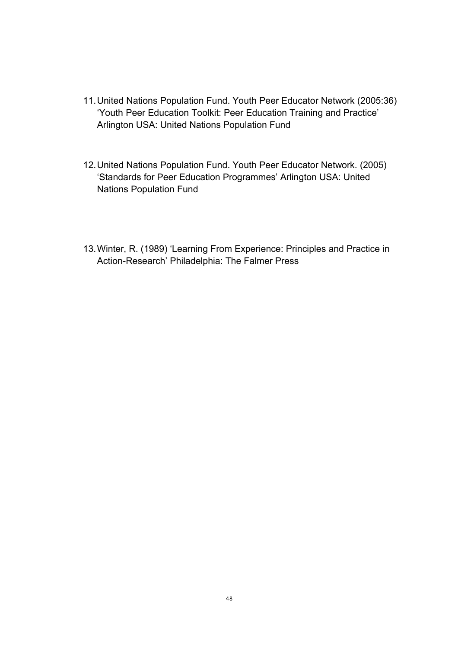- 11.United Nations Population Fund. Youth Peer Educator Network (2005:36) 'Youth Peer Education Toolkit: Peer Education Training and Practice' Arlington USA: United Nations Population Fund
- 12.United Nations Population Fund. Youth Peer Educator Network. (2005) 'Standards for Peer Education Programmes' Arlington USA: United Nations Population Fund
- 13.Winter, R. (1989) 'Learning From Experience: Principles and Practice in Action-Research' Philadelphia: The Falmer Press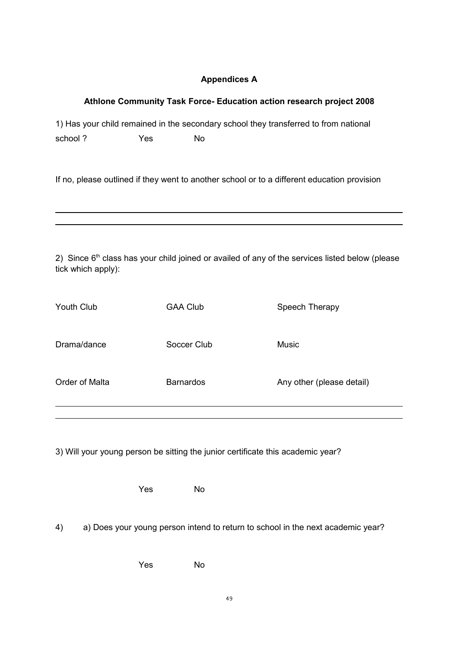#### **Appendices A**

#### **Athlone Community Task Force- Education action research project 2008**

1) Has your child remained in the secondary school they transferred to from national school? Yes No

If no, please outlined if they went to another school or to a different education provision

2) Since  $6<sup>th</sup>$  class has your child joined or availed of any of the services listed below (please tick which apply):

| Youth Club     | <b>GAA Club</b>  | Speech Therapy            |
|----------------|------------------|---------------------------|
| Drama/dance    | Soccer Club      | Music                     |
| Order of Malta | <b>Barnardos</b> | Any other (please detail) |

3) Will your young person be sitting the junior certificate this academic year?

Yes No

4) a) Does your young person intend to return to school in the next academic year?

Yes No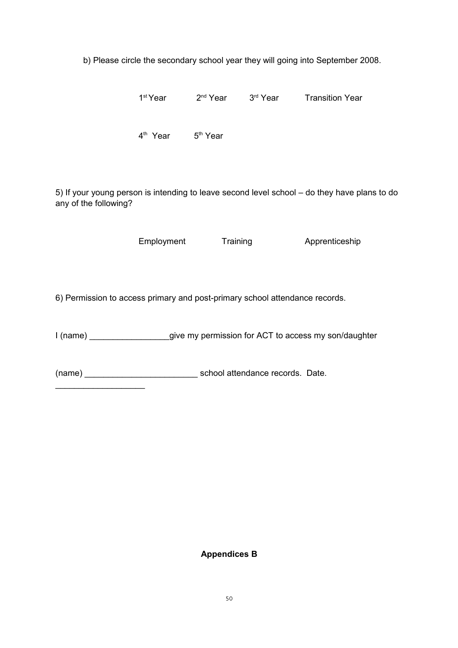b) Please circle the secondary school year they will going into September 2008.

1<sup>st</sup> Year 2<sup>nd</sup> Year 3<sup>rd</sup> Year Transition Year

4<sup>th</sup> Year 5<sup>th</sup> Year

5) If your young person is intending to leave second level school – do they have plans to do any of the following?

Employment Training Apprenticeship

6) Permission to access primary and post-primary school attendance records.

I (name) \_\_\_\_\_\_\_\_\_\_\_\_\_\_\_\_\_give my permission for ACT to access my son/daughter

(name) \_\_\_\_\_\_\_\_\_\_\_\_\_\_\_\_\_\_\_\_\_\_\_\_ school attendance records. Date.

\_\_\_\_\_\_\_\_\_\_\_\_\_\_\_\_\_\_\_

#### **Appendices B**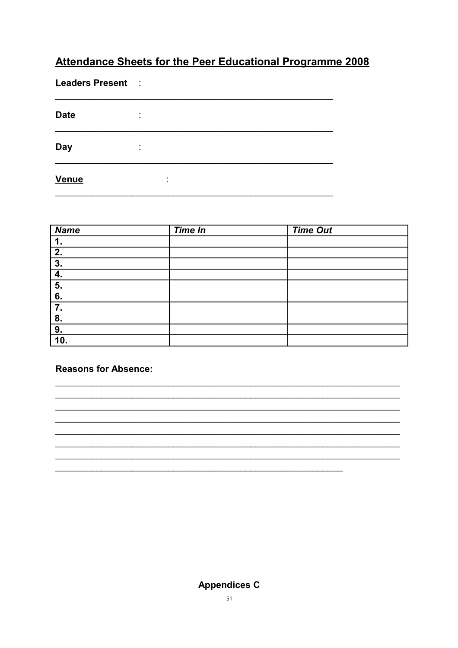# Attendance Sheets for the Peer Educational Programme 2008

**Leaders Present :** 

| <b>Date</b>  | ٠<br>٠.        |                     |  |
|--------------|----------------|---------------------|--|
| Day          | ٠<br>$\bullet$ |                     |  |
| <b>Venue</b> |                | ٠<br>$\blacksquare$ |  |

| <b>Name</b> | <b>Time In</b> | <b>Time Out</b> |
|-------------|----------------|-----------------|
| 1.          |                |                 |
| 2.          |                |                 |
| 3.          |                |                 |
|             |                |                 |
| 5.          |                |                 |
| 6.          |                |                 |
| 7.          |                |                 |
| 8.          |                |                 |
| 9.          |                |                 |
| 10.         |                |                 |

**Reasons for Absence:** 

**Appendices C**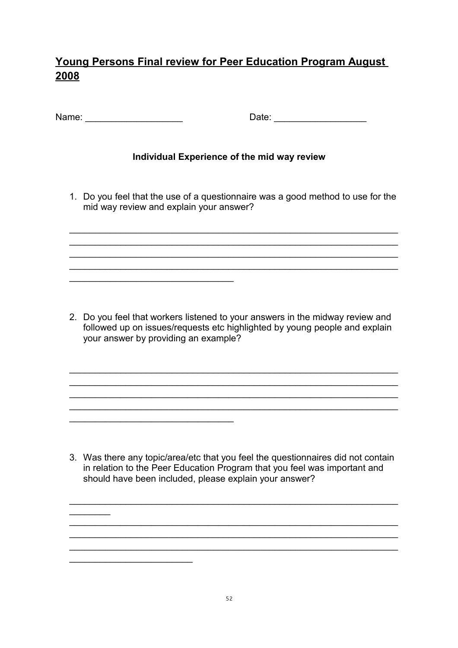# **Young Persons Final review for Peer Education Program August 2008**

| Name: |  |  |
|-------|--|--|
|-------|--|--|

 $\mathcal{L}_\text{max}$  , where  $\mathcal{L}_\text{max}$  is the set of the set of the set of the set of the set of the set of the set of the set of the set of the set of the set of the set of the set of the set of the set of the set of the se

 $\mathcal{L}_\text{max}$  , and the set of the set of the set of the set of the set of the set of the set of the set of the set of the set of the set of the set of the set of the set of the set of the set of the set of the set of the

 $\mathcal{L}_\text{max}$  , where  $\mathcal{L}_\text{max}$  is the set of the set of the set of the set of the set of the set of the set of the set of the set of the set of the set of the set of the set of the set of the set of the set of the se

 $\frac{1}{2}$ 

Date:  $\Box$ 

## **Individual Experience of the mid way review**

1. Do you feel that the use of a questionnaire was a good method to use for the mid way review and explain your answer?

 $\mathcal{L}_\text{max} = \mathcal{L}_\text{max} = \mathcal{L}_\text{max} = \mathcal{L}_\text{max} = \mathcal{L}_\text{max} = \mathcal{L}_\text{max} = \mathcal{L}_\text{max} = \mathcal{L}_\text{max} = \mathcal{L}_\text{max} = \mathcal{L}_\text{max} = \mathcal{L}_\text{max} = \mathcal{L}_\text{max} = \mathcal{L}_\text{max} = \mathcal{L}_\text{max} = \mathcal{L}_\text{max} = \mathcal{L}_\text{max} = \mathcal{L}_\text{max} = \mathcal{L}_\text{max} = \mathcal{$  $\mathcal{L}_\text{max}$  , and the contract of the contract of the contract of the contract of the contract of the contract of  $\mathcal{L}_\text{max}$  , and the contract of the contract of the contract of the contract of the contract of the contract of  $\mathcal{L}_\text{max} = \mathcal{L}_\text{max} = \mathcal{L}_\text{max} = \mathcal{L}_\text{max} = \mathcal{L}_\text{max} = \mathcal{L}_\text{max} = \mathcal{L}_\text{max} = \mathcal{L}_\text{max} = \mathcal{L}_\text{max} = \mathcal{L}_\text{max} = \mathcal{L}_\text{max} = \mathcal{L}_\text{max} = \mathcal{L}_\text{max} = \mathcal{L}_\text{max} = \mathcal{L}_\text{max} = \mathcal{L}_\text{max} = \mathcal{L}_\text{max} = \mathcal{L}_\text{max} = \mathcal{$ 

2. Do you feel that workers listened to your answers in the midway review and followed up on issues/requests etc highlighted by young people and explain your answer by providing an example?

 $\mathcal{L}_\text{max}$  , and the contract of the contract of the contract of the contract of the contract of the contract of  $\mathcal{L}_\text{max}$  , and the contract of the contract of the contract of the contract of the contract of the contract of  $\mathcal{L}_\text{max} = \mathcal{L}_\text{max} = \mathcal{L}_\text{max} = \mathcal{L}_\text{max} = \mathcal{L}_\text{max} = \mathcal{L}_\text{max} = \mathcal{L}_\text{max} = \mathcal{L}_\text{max} = \mathcal{L}_\text{max} = \mathcal{L}_\text{max} = \mathcal{L}_\text{max} = \mathcal{L}_\text{max} = \mathcal{L}_\text{max} = \mathcal{L}_\text{max} = \mathcal{L}_\text{max} = \mathcal{L}_\text{max} = \mathcal{L}_\text{max} = \mathcal{L}_\text{max} = \mathcal{$  $\mathcal{L}_\text{max} = \mathcal{L}_\text{max} = \mathcal{L}_\text{max} = \mathcal{L}_\text{max} = \mathcal{L}_\text{max} = \mathcal{L}_\text{max} = \mathcal{L}_\text{max} = \mathcal{L}_\text{max} = \mathcal{L}_\text{max} = \mathcal{L}_\text{max} = \mathcal{L}_\text{max} = \mathcal{L}_\text{max} = \mathcal{L}_\text{max} = \mathcal{L}_\text{max} = \mathcal{L}_\text{max} = \mathcal{L}_\text{max} = \mathcal{L}_\text{max} = \mathcal{L}_\text{max} = \mathcal{$ 

3. Was there any topic/area/etc that you feel the questionnaires did not contain in relation to the Peer Education Program that you feel was important and should have been included, please explain your answer?

 $\mathcal{L}_\text{max}$  , and the contract of the contract of the contract of the contract of the contract of the contract of

 $\mathcal{L}_\text{max}$  , and the contract of the contract of the contract of the contract of the contract of the contract of  $\mathcal{L}_\text{max}$  , and the contract of the contract of the contract of the contract of the contract of the contract of  $\mathcal{L}_\text{max} = \mathcal{L}_\text{max} = \mathcal{L}_\text{max} = \mathcal{L}_\text{max} = \mathcal{L}_\text{max} = \mathcal{L}_\text{max} = \mathcal{L}_\text{max} = \mathcal{L}_\text{max} = \mathcal{L}_\text{max} = \mathcal{L}_\text{max} = \mathcal{L}_\text{max} = \mathcal{L}_\text{max} = \mathcal{L}_\text{max} = \mathcal{L}_\text{max} = \mathcal{L}_\text{max} = \mathcal{L}_\text{max} = \mathcal{L}_\text{max} = \mathcal{L}_\text{max} = \mathcal{$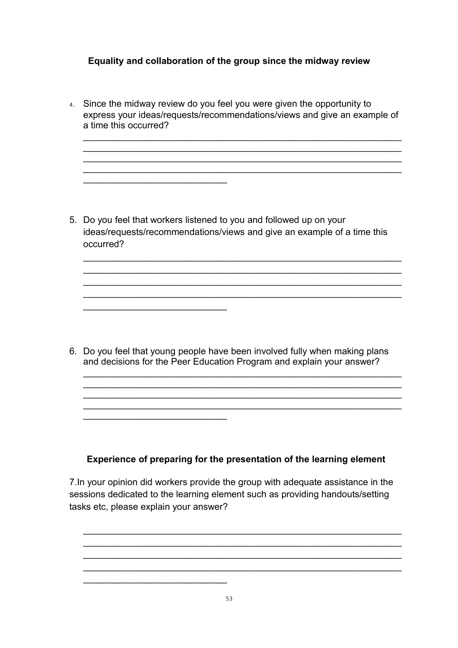## **Equality and collaboration of the group since the midway review**

4. Since the midway review do you feel you were given the opportunity to express your ideas/requests/recommendations/views and give an example of a time this occurred?

 $\mathcal{L}_\text{max} = \mathcal{L}_\text{max} = \mathcal{L}_\text{max} = \mathcal{L}_\text{max} = \mathcal{L}_\text{max} = \mathcal{L}_\text{max} = \mathcal{L}_\text{max} = \mathcal{L}_\text{max} = \mathcal{L}_\text{max} = \mathcal{L}_\text{max} = \mathcal{L}_\text{max} = \mathcal{L}_\text{max} = \mathcal{L}_\text{max} = \mathcal{L}_\text{max} = \mathcal{L}_\text{max} = \mathcal{L}_\text{max} = \mathcal{L}_\text{max} = \mathcal{L}_\text{max} = \mathcal{$  $\mathcal{L}_\text{max} = \mathcal{L}_\text{max} = \mathcal{L}_\text{max} = \mathcal{L}_\text{max} = \mathcal{L}_\text{max} = \mathcal{L}_\text{max} = \mathcal{L}_\text{max} = \mathcal{L}_\text{max} = \mathcal{L}_\text{max} = \mathcal{L}_\text{max} = \mathcal{L}_\text{max} = \mathcal{L}_\text{max} = \mathcal{L}_\text{max} = \mathcal{L}_\text{max} = \mathcal{L}_\text{max} = \mathcal{L}_\text{max} = \mathcal{L}_\text{max} = \mathcal{L}_\text{max} = \mathcal{$  $\mathcal{L}_\text{max}$  , and the contract of the contract of the contract of the contract of the contract of the contract of the contract of the contract of the contract of the contract of the contract of the contract of the contr  $\mathcal{L}_\text{max}$  , and the contract of the contract of the contract of the contract of the contract of the contract of the contract of the contract of the contract of the contract of the contract of the contract of the contr

5. Do you feel that workers listened to you and followed up on your ideas/requests/recommendations/views and give an example of a time this occurred?

 $\mathcal{L}_\text{max}$  , and the contract of the contract of the contract of the contract of the contract of the contract of the contract of the contract of the contract of the contract of the contract of the contract of the contr  $\mathcal{L}_\text{max}$  , and the contract of the contract of the contract of the contract of the contract of the contract of the contract of the contract of the contract of the contract of the contract of the contract of the contr  $\mathcal{L}_\text{max} = \mathcal{L}_\text{max} = \mathcal{L}_\text{max} = \mathcal{L}_\text{max} = \mathcal{L}_\text{max} = \mathcal{L}_\text{max} = \mathcal{L}_\text{max} = \mathcal{L}_\text{max} = \mathcal{L}_\text{max} = \mathcal{L}_\text{max} = \mathcal{L}_\text{max} = \mathcal{L}_\text{max} = \mathcal{L}_\text{max} = \mathcal{L}_\text{max} = \mathcal{L}_\text{max} = \mathcal{L}_\text{max} = \mathcal{L}_\text{max} = \mathcal{L}_\text{max} = \mathcal{$  $\mathcal{L}_\text{max} = \mathcal{L}_\text{max} = \mathcal{L}_\text{max} = \mathcal{L}_\text{max} = \mathcal{L}_\text{max} = \mathcal{L}_\text{max} = \mathcal{L}_\text{max} = \mathcal{L}_\text{max} = \mathcal{L}_\text{max} = \mathcal{L}_\text{max} = \mathcal{L}_\text{max} = \mathcal{L}_\text{max} = \mathcal{L}_\text{max} = \mathcal{L}_\text{max} = \mathcal{L}_\text{max} = \mathcal{L}_\text{max} = \mathcal{L}_\text{max} = \mathcal{L}_\text{max} = \mathcal{$ 

 $\mathcal{L}_\text{max}$  , where  $\mathcal{L}_\text{max}$  , we have the set of  $\mathcal{L}_\text{max}$ 

 $\mathcal{L}_\text{max}$  , where  $\mathcal{L}_\text{max}$  , we have the set of  $\mathcal{L}_\text{max}$ 

 $\mathcal{L}_\text{max}$  , where  $\mathcal{L}_\text{max}$  , we have the set of  $\mathcal{L}_\text{max}$ 

6. Do you feel that young people have been involved fully when making plans and decisions for the Peer Education Program and explain your answer?

 $\mathcal{L}_\text{max}$  , and the contract of the contract of the contract of the contract of the contract of the contract of the contract of the contract of the contract of the contract of the contract of the contract of the contr

 $\mathcal{L}_\text{max} = \mathcal{L}_\text{max} = \mathcal{L}_\text{max} = \mathcal{L}_\text{max} = \mathcal{L}_\text{max} = \mathcal{L}_\text{max} = \mathcal{L}_\text{max} = \mathcal{L}_\text{max} = \mathcal{L}_\text{max} = \mathcal{L}_\text{max} = \mathcal{L}_\text{max} = \mathcal{L}_\text{max} = \mathcal{L}_\text{max} = \mathcal{L}_\text{max} = \mathcal{L}_\text{max} = \mathcal{L}_\text{max} = \mathcal{L}_\text{max} = \mathcal{L}_\text{max} = \mathcal{$  $\mathcal{L}_\text{max}$  , and the contract of the contract of the contract of the contract of the contract of the contract of the contract of the contract of the contract of the contract of the contract of the contract of the contr

#### **Experience of preparing for the presentation of the learning element**

7.In your opinion did workers provide the group with adequate assistance in the sessions dedicated to the learning element such as providing handouts/setting tasks etc, please explain your answer?

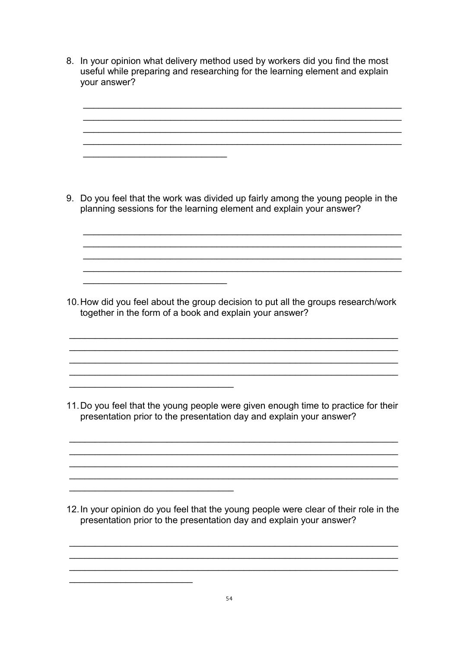8. In your opinion what delivery method used by workers did you find the most useful while preparing and researching for the learning element and explain your answer?

 $\mathcal{L}_\text{max}$  , and the contract of the contract of the contract of the contract of the contract of the contract of the contract of the contract of the contract of the contract of the contract of the contract of the contr  $\mathcal{L}_\text{max}$  , and the contract of the contract of the contract of the contract of the contract of the contract of the contract of the contract of the contract of the contract of the contract of the contract of the contr  $\mathcal{L}_\text{max} = \mathcal{L}_\text{max} = \mathcal{L}_\text{max} = \mathcal{L}_\text{max} = \mathcal{L}_\text{max} = \mathcal{L}_\text{max} = \mathcal{L}_\text{max} = \mathcal{L}_\text{max} = \mathcal{L}_\text{max} = \mathcal{L}_\text{max} = \mathcal{L}_\text{max} = \mathcal{L}_\text{max} = \mathcal{L}_\text{max} = \mathcal{L}_\text{max} = \mathcal{L}_\text{max} = \mathcal{L}_\text{max} = \mathcal{L}_\text{max} = \mathcal{L}_\text{max} = \mathcal{$  $\mathcal{L}_\text{max} = \mathcal{L}_\text{max} = \mathcal{L}_\text{max} = \mathcal{L}_\text{max} = \mathcal{L}_\text{max} = \mathcal{L}_\text{max} = \mathcal{L}_\text{max} = \mathcal{L}_\text{max} = \mathcal{L}_\text{max} = \mathcal{L}_\text{max} = \mathcal{L}_\text{max} = \mathcal{L}_\text{max} = \mathcal{L}_\text{max} = \mathcal{L}_\text{max} = \mathcal{L}_\text{max} = \mathcal{L}_\text{max} = \mathcal{L}_\text{max} = \mathcal{L}_\text{max} = \mathcal{$ 

9. Do you feel that the work was divided up fairly among the young people in the planning sessions for the learning element and explain your answer?

 $\mathcal{L}_\text{max}$  , and the contract of the contract of the contract of the contract of the contract of the contract of the contract of the contract of the contract of the contract of the contract of the contract of the contr  $\mathcal{L}_\text{max}$  , and the contract of the contract of the contract of the contract of the contract of the contract of the contract of the contract of the contract of the contract of the contract of the contract of the contr

 $\mathcal{L}_\text{max}$  , and the contract of the contract of the contract of the contract of the contract of the contract of the contract of the contract of the contract of the contract of the contract of the contract of the contr

 $\mathcal{L}_\text{max}$  , where  $\mathcal{L}_\text{max}$  and  $\mathcal{L}_\text{max}$ 

 $\mathcal{L}_\text{max}$  , where  $\mathcal{L}_\text{max}$  and  $\mathcal{L}_\text{max}$ 

 $\mathcal{L}_\text{max}$  , and the set of the set of the set of the set of the set of the set of the set of the set of the set of the set of the set of the set of the set of the set of the set of the set of the set of the set of the

 $\mathcal{L}_\text{max}$  and  $\mathcal{L}_\text{max}$  and  $\mathcal{L}_\text{max}$  and  $\mathcal{L}_\text{max}$ 

 $\mathcal{L}_\text{max}$  , where  $\mathcal{L}_\text{max}$  , we have the set of  $\mathcal{L}_\text{max}$ 

10.How did you feel about the group decision to put all the groups research/work together in the form of a book and explain your answer?

 $\mathcal{L}_\text{max} = \mathcal{L}_\text{max} = \mathcal{L}_\text{max} = \mathcal{L}_\text{max} = \mathcal{L}_\text{max} = \mathcal{L}_\text{max} = \mathcal{L}_\text{max} = \mathcal{L}_\text{max} = \mathcal{L}_\text{max} = \mathcal{L}_\text{max} = \mathcal{L}_\text{max} = \mathcal{L}_\text{max} = \mathcal{L}_\text{max} = \mathcal{L}_\text{max} = \mathcal{L}_\text{max} = \mathcal{L}_\text{max} = \mathcal{L}_\text{max} = \mathcal{L}_\text{max} = \mathcal{$  $\mathcal{L}_\text{max}$  , and the contract of the contract of the contract of the contract of the contract of the contract of

 $\mathcal{L}_\text{max} = \mathcal{L}_\text{max} = \mathcal{L}_\text{max} = \mathcal{L}_\text{max} = \mathcal{L}_\text{max} = \mathcal{L}_\text{max} = \mathcal{L}_\text{max} = \mathcal{L}_\text{max} = \mathcal{L}_\text{max} = \mathcal{L}_\text{max} = \mathcal{L}_\text{max} = \mathcal{L}_\text{max} = \mathcal{L}_\text{max} = \mathcal{L}_\text{max} = \mathcal{L}_\text{max} = \mathcal{L}_\text{max} = \mathcal{L}_\text{max} = \mathcal{L}_\text{max} = \mathcal{$ 

11.Do you feel that the young people were given enough time to practice for their presentation prior to the presentation day and explain your answer?

 $\mathcal{L}_\text{max} = \mathcal{L}_\text{max} = \mathcal{L}_\text{max} = \mathcal{L}_\text{max} = \mathcal{L}_\text{max} = \mathcal{L}_\text{max} = \mathcal{L}_\text{max} = \mathcal{L}_\text{max} = \mathcal{L}_\text{max} = \mathcal{L}_\text{max} = \mathcal{L}_\text{max} = \mathcal{L}_\text{max} = \mathcal{L}_\text{max} = \mathcal{L}_\text{max} = \mathcal{L}_\text{max} = \mathcal{L}_\text{max} = \mathcal{L}_\text{max} = \mathcal{L}_\text{max} = \mathcal{$  $\mathcal{L}_\text{max} = \mathcal{L}_\text{max} = \mathcal{L}_\text{max} = \mathcal{L}_\text{max} = \mathcal{L}_\text{max} = \mathcal{L}_\text{max} = \mathcal{L}_\text{max} = \mathcal{L}_\text{max} = \mathcal{L}_\text{max} = \mathcal{L}_\text{max} = \mathcal{L}_\text{max} = \mathcal{L}_\text{max} = \mathcal{L}_\text{max} = \mathcal{L}_\text{max} = \mathcal{L}_\text{max} = \mathcal{L}_\text{max} = \mathcal{L}_\text{max} = \mathcal{L}_\text{max} = \mathcal{$  $\mathcal{L}_\text{max}$  , and the contract of the contract of the contract of the contract of the contract of the contract of

12.In your opinion do you feel that the young people were clear of their role in the presentation prior to the presentation day and explain your answer?

 $\mathcal{L}_\text{max}$  , and the contract of the contract of the contract of the contract of the contract of the contract of  $\mathcal{L}_\text{max} = \mathcal{L}_\text{max} = \mathcal{L}_\text{max} = \mathcal{L}_\text{max} = \mathcal{L}_\text{max} = \mathcal{L}_\text{max} = \mathcal{L}_\text{max} = \mathcal{L}_\text{max} = \mathcal{L}_\text{max} = \mathcal{L}_\text{max} = \mathcal{L}_\text{max} = \mathcal{L}_\text{max} = \mathcal{L}_\text{max} = \mathcal{L}_\text{max} = \mathcal{L}_\text{max} = \mathcal{L}_\text{max} = \mathcal{L}_\text{max} = \mathcal{L}_\text{max} = \mathcal{$  $\mathcal{L}_\text{max} = \mathcal{L}_\text{max} = \mathcal{L}_\text{max} = \mathcal{L}_\text{max} = \mathcal{L}_\text{max} = \mathcal{L}_\text{max} = \mathcal{L}_\text{max} = \mathcal{L}_\text{max} = \mathcal{L}_\text{max} = \mathcal{L}_\text{max} = \mathcal{L}_\text{max} = \mathcal{L}_\text{max} = \mathcal{L}_\text{max} = \mathcal{L}_\text{max} = \mathcal{L}_\text{max} = \mathcal{L}_\text{max} = \mathcal{L}_\text{max} = \mathcal{L}_\text{max} = \mathcal{$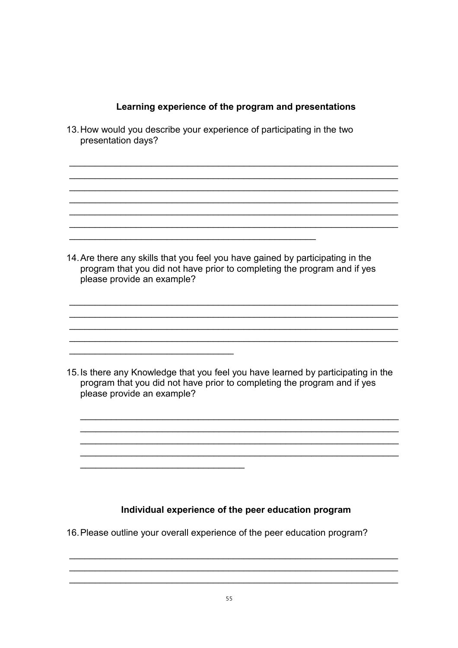#### **Learning experience of the program and presentations**

13.How would you describe your experience of participating in the two presentation days?  $\mathcal{L}_\text{max} = \mathcal{L}_\text{max} = \mathcal{L}_\text{max} = \mathcal{L}_\text{max} = \mathcal{L}_\text{max} = \mathcal{L}_\text{max} = \mathcal{L}_\text{max} = \mathcal{L}_\text{max} = \mathcal{L}_\text{max} = \mathcal{L}_\text{max} = \mathcal{L}_\text{max} = \mathcal{L}_\text{max} = \mathcal{L}_\text{max} = \mathcal{L}_\text{max} = \mathcal{L}_\text{max} = \mathcal{L}_\text{max} = \mathcal{L}_\text{max} = \mathcal{L}_\text{max} = \mathcal{$  $\mathcal{L}_\text{max}$  , and the contract of the contract of the contract of the contract of the contract of the contract of  $\mathcal{L}_\text{max}$  , and the contract of the contract of the contract of the contract of the contract of the contract of  $\mathcal{L}_\text{max} = \mathcal{L}_\text{max} = \mathcal{L}_\text{max} = \mathcal{L}_\text{max} = \mathcal{L}_\text{max} = \mathcal{L}_\text{max} = \mathcal{L}_\text{max} = \mathcal{L}_\text{max} = \mathcal{L}_\text{max} = \mathcal{L}_\text{max} = \mathcal{L}_\text{max} = \mathcal{L}_\text{max} = \mathcal{L}_\text{max} = \mathcal{L}_\text{max} = \mathcal{L}_\text{max} = \mathcal{L}_\text{max} = \mathcal{L}_\text{max} = \mathcal{L}_\text{max} = \mathcal{$  $\mathcal{L}_\text{max}$  , and the contract of the contract of the contract of the contract of the contract of the contract of the contract of the contract of the contract of the contract of the contract of the contract of the contr  $\mathcal{L}_\text{max}$  , and the contract of the contract of the contract of the contract of the contract of the contract of the contract of the contract of the contract of the contract of the contract of the contract of the contr  $\mathcal{L}_\text{max} = \mathcal{L}_\text{max} = \mathcal{L}_\text{max} = \mathcal{L}_\text{max} = \mathcal{L}_\text{max} = \mathcal{L}_\text{max} = \mathcal{L}_\text{max} = \mathcal{L}_\text{max} = \mathcal{L}_\text{max} = \mathcal{L}_\text{max} = \mathcal{L}_\text{max} = \mathcal{L}_\text{max} = \mathcal{L}_\text{max} = \mathcal{L}_\text{max} = \mathcal{L}_\text{max} = \mathcal{L}_\text{max} = \mathcal{L}_\text{max} = \mathcal{L}_\text{max} = \mathcal{$ 14.Are there any skills that you feel you have gained by participating in the program that you did not have prior to completing the program and if yes please provide an example?  $\mathcal{L}_\text{max}$  , and the contract of the contract of the contract of the contract of the contract of the contract of the contract of the contract of the contract of the contract of the contract of the contract of the contr  $\mathcal{L}_\text{max}$  , and the contract of the contract of the contract of the contract of the contract of the contract of the contract of the contract of the contract of the contract of the contract of the contract of the contr  $\mathcal{L}_\text{max} = \mathcal{L}_\text{max} = \mathcal{L}_\text{max} = \mathcal{L}_\text{max} = \mathcal{L}_\text{max} = \mathcal{L}_\text{max} = \mathcal{L}_\text{max} = \mathcal{L}_\text{max} = \mathcal{L}_\text{max} = \mathcal{L}_\text{max} = \mathcal{L}_\text{max} = \mathcal{L}_\text{max} = \mathcal{L}_\text{max} = \mathcal{L}_\text{max} = \mathcal{L}_\text{max} = \mathcal{L}_\text{max} = \mathcal{L}_\text{max} = \mathcal{L}_\text{max} = \mathcal{$  $\mathcal{L}_\text{max} = \mathcal{L}_\text{max} = \mathcal{L}_\text{max} = \mathcal{L}_\text{max} = \mathcal{L}_\text{max} = \mathcal{L}_\text{max} = \mathcal{L}_\text{max} = \mathcal{L}_\text{max} = \mathcal{L}_\text{max} = \mathcal{L}_\text{max} = \mathcal{L}_\text{max} = \mathcal{L}_\text{max} = \mathcal{L}_\text{max} = \mathcal{L}_\text{max} = \mathcal{L}_\text{max} = \mathcal{L}_\text{max} = \mathcal{L}_\text{max} = \mathcal{L}_\text{max} = \mathcal{$ 15.Is there any Knowledge that you feel you have learned by participating in the program that you did not have prior to completing the program and if yes please provide an example?  $\mathcal{L}_\text{max}$  and  $\mathcal{L}_\text{max}$  and  $\mathcal{L}_\text{max}$  and  $\mathcal{L}_\text{max}$  and  $\mathcal{L}_\text{max}$  and  $\mathcal{L}_\text{max}$ 

## **Individual experience of the peer education program**

 $\mathcal{L}_\text{max} = \mathcal{L}_\text{max} = \mathcal{L}_\text{max} = \mathcal{L}_\text{max} = \mathcal{L}_\text{max} = \mathcal{L}_\text{max} = \mathcal{L}_\text{max} = \mathcal{L}_\text{max} = \mathcal{L}_\text{max} = \mathcal{L}_\text{max} = \mathcal{L}_\text{max} = \mathcal{L}_\text{max} = \mathcal{L}_\text{max} = \mathcal{L}_\text{max} = \mathcal{L}_\text{max} = \mathcal{L}_\text{max} = \mathcal{L}_\text{max} = \mathcal{L}_\text{max} = \mathcal{$  $\mathcal{L}_\text{max} = \mathcal{L}_\text{max} = \mathcal{L}_\text{max} = \mathcal{L}_\text{max} = \mathcal{L}_\text{max} = \mathcal{L}_\text{max} = \mathcal{L}_\text{max} = \mathcal{L}_\text{max} = \mathcal{L}_\text{max} = \mathcal{L}_\text{max} = \mathcal{L}_\text{max} = \mathcal{L}_\text{max} = \mathcal{L}_\text{max} = \mathcal{L}_\text{max} = \mathcal{L}_\text{max} = \mathcal{L}_\text{max} = \mathcal{L}_\text{max} = \mathcal{L}_\text{max} = \mathcal{$ 

 $\mathcal{L}_\text{max}$  and  $\mathcal{L}_\text{max}$  and  $\mathcal{L}_\text{max}$  and  $\mathcal{L}_\text{max}$  and  $\mathcal{L}_\text{max}$  and  $\mathcal{L}_\text{max}$ 

16.Please outline your overall experience of the peer education program?

 $\mathcal{L}_\text{max}$  and  $\mathcal{L}_\text{max}$  and  $\mathcal{L}_\text{max}$  and  $\mathcal{L}_\text{max}$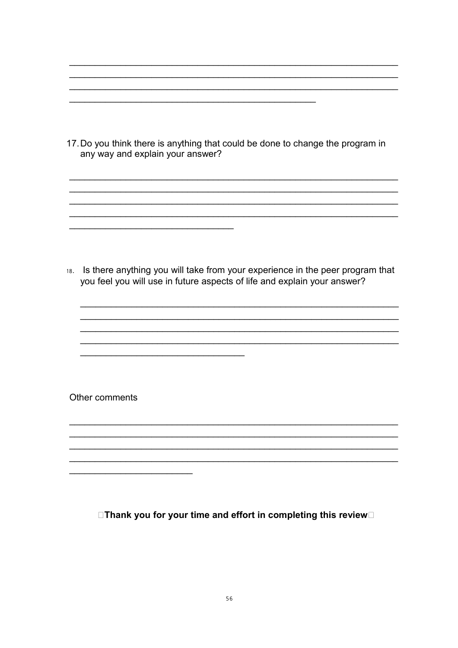17. Do you think there is anything that could be done to change the program in any way and explain your answer?

18. Is there anything you will take from your experience in the peer program that you feel you will use in future aspects of life and explain your answer?

Other comments

□Thank you for your time and effort in completing this review□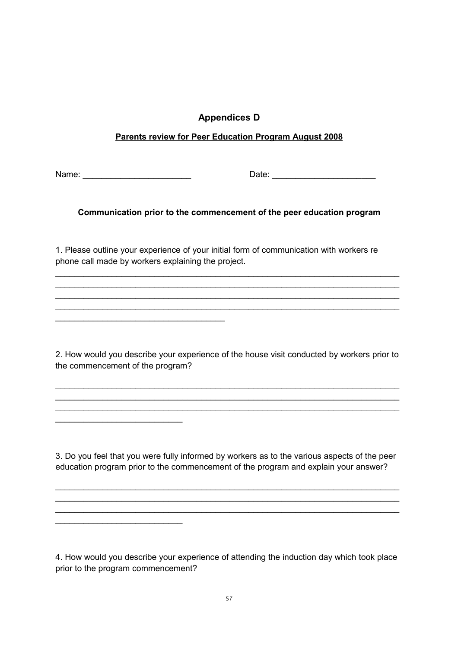## **Appendices D**

#### **Parents review for Peer Education Program August 2008**

Name: \_\_\_\_\_\_\_\_\_\_\_\_\_\_\_\_\_\_\_\_\_\_\_ Date: \_\_\_\_\_\_\_\_\_\_\_\_\_\_\_\_\_\_\_\_\_\_

\_\_\_\_\_\_\_\_\_\_\_\_\_\_\_\_\_\_\_\_\_\_\_\_\_\_\_

\_\_\_\_\_\_\_\_\_\_\_\_\_\_\_\_\_\_\_\_\_\_\_\_\_\_\_

#### **Communication prior to the commencement of the peer education program**

1. Please outline your experience of your initial form of communication with workers re phone call made by workers explaining the project.

\_\_\_\_\_\_\_\_\_\_\_\_\_\_\_\_\_\_\_\_\_\_\_\_\_\_\_\_\_\_\_\_\_\_\_\_\_\_\_\_\_\_\_\_\_\_\_\_\_\_\_\_\_\_\_\_\_\_\_\_\_\_\_\_\_\_\_\_\_\_\_\_\_ \_\_\_\_\_\_\_\_\_\_\_\_\_\_\_\_\_\_\_\_\_\_\_\_\_\_\_\_\_\_\_\_\_\_\_\_\_\_\_\_\_\_\_\_\_\_\_\_\_\_\_\_\_\_\_\_\_\_\_\_\_\_\_\_\_\_\_\_\_\_\_\_\_ \_\_\_\_\_\_\_\_\_\_\_\_\_\_\_\_\_\_\_\_\_\_\_\_\_\_\_\_\_\_\_\_\_\_\_\_\_\_\_\_\_\_\_\_\_\_\_\_\_\_\_\_\_\_\_\_\_\_\_\_\_\_\_\_\_\_\_\_\_\_\_\_\_ \_\_\_\_\_\_\_\_\_\_\_\_\_\_\_\_\_\_\_\_\_\_\_\_\_\_\_\_\_\_\_\_\_\_\_\_\_\_\_\_\_\_\_\_\_\_\_\_\_\_\_\_\_\_\_\_\_\_\_\_\_\_\_\_\_\_\_\_\_\_\_\_\_

2. How would you describe your experience of the house visit conducted by workers prior to the commencement of the program?

\_\_\_\_\_\_\_\_\_\_\_\_\_\_\_\_\_\_\_\_\_\_\_\_\_\_\_\_\_\_\_\_\_\_\_\_\_\_\_\_\_\_\_\_\_\_\_\_\_\_\_\_\_\_\_\_\_\_\_\_\_\_\_\_\_\_\_\_\_\_\_\_\_ \_\_\_\_\_\_\_\_\_\_\_\_\_\_\_\_\_\_\_\_\_\_\_\_\_\_\_\_\_\_\_\_\_\_\_\_\_\_\_\_\_\_\_\_\_\_\_\_\_\_\_\_\_\_\_\_\_\_\_\_\_\_\_\_\_\_\_\_\_\_\_\_\_ \_\_\_\_\_\_\_\_\_\_\_\_\_\_\_\_\_\_\_\_\_\_\_\_\_\_\_\_\_\_\_\_\_\_\_\_\_\_\_\_\_\_\_\_\_\_\_\_\_\_\_\_\_\_\_\_\_\_\_\_\_\_\_\_\_\_\_\_\_\_\_\_\_

3. Do you feel that you were fully informed by workers as to the various aspects of the peer education program prior to the commencement of the program and explain your answer?

\_\_\_\_\_\_\_\_\_\_\_\_\_\_\_\_\_\_\_\_\_\_\_\_\_\_\_\_\_\_\_\_\_\_\_\_\_\_\_\_\_\_\_\_\_\_\_\_\_\_\_\_\_\_\_\_\_\_\_\_\_\_\_\_\_\_\_\_\_\_\_\_\_ \_\_\_\_\_\_\_\_\_\_\_\_\_\_\_\_\_\_\_\_\_\_\_\_\_\_\_\_\_\_\_\_\_\_\_\_\_\_\_\_\_\_\_\_\_\_\_\_\_\_\_\_\_\_\_\_\_\_\_\_\_\_\_\_\_\_\_\_\_\_\_\_\_ \_\_\_\_\_\_\_\_\_\_\_\_\_\_\_\_\_\_\_\_\_\_\_\_\_\_\_\_\_\_\_\_\_\_\_\_\_\_\_\_\_\_\_\_\_\_\_\_\_\_\_\_\_\_\_\_\_\_\_\_\_\_\_\_\_\_\_\_\_\_\_\_\_

4. How would you describe your experience of attending the induction day which took place prior to the program commencement?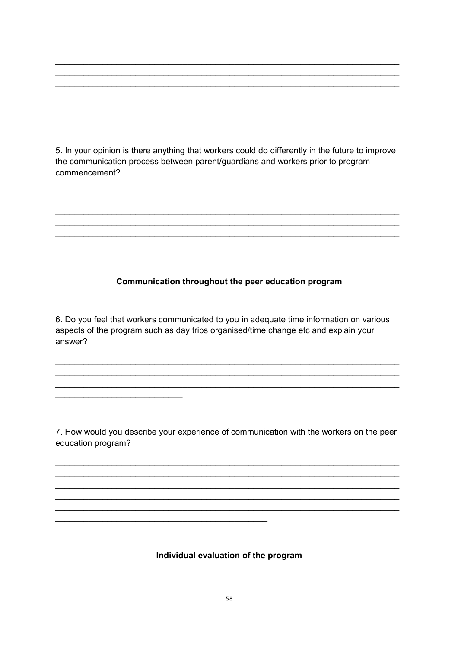5. In your opinion is there anything that workers could do differently in the future to improve the communication process between parent/guardians and workers prior to program commencement?

#### Communication throughout the peer education program

6. Do you feel that workers communicated to you in adequate time information on various aspects of the program such as day trips organised/time change etc and explain your answer?

7. How would you describe your experience of communication with the workers on the peer education program?

Individual evaluation of the program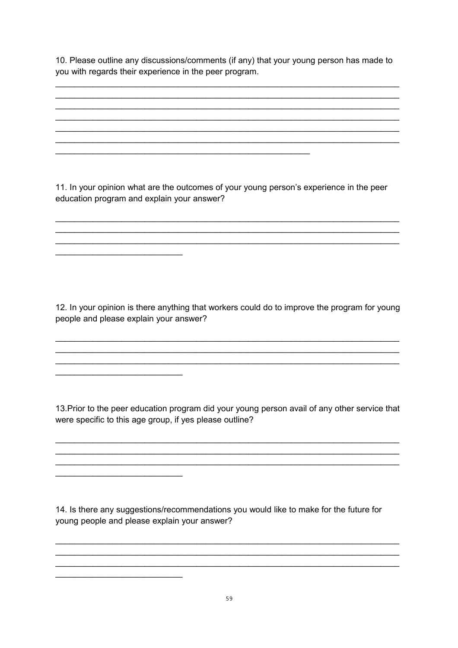10. Please outline any discussions/comments (if any) that your young person has made to you with regards their experience in the peer program.

11. In your opinion what are the outcomes of your young person's experience in the peer education program and explain your answer?

12. In your opinion is there anything that workers could do to improve the program for young people and please explain your answer?

13. Prior to the peer education program did your young person avail of any other service that were specific to this age group, if yes please outline?

14. Is there any suggestions/recommendations you would like to make for the future for young people and please explain your answer?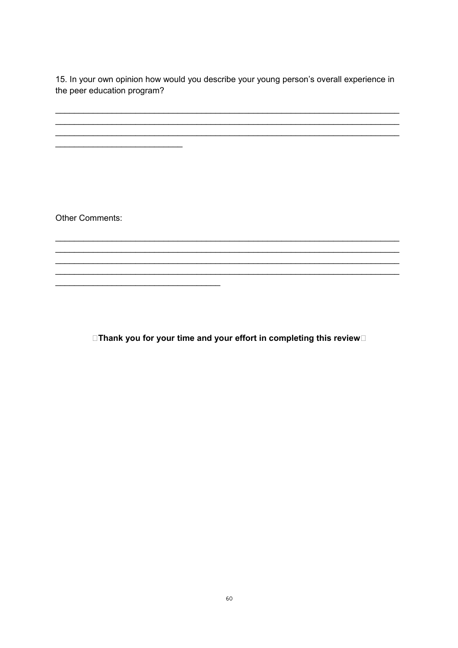15. In your own opinion how would you describe your young person's overall experience in the peer education program?

Other Comments:

<u> 1989 - Johann Barbara, martxa alemaniar a</u>

□Thank you for your time and your effort in completing this review□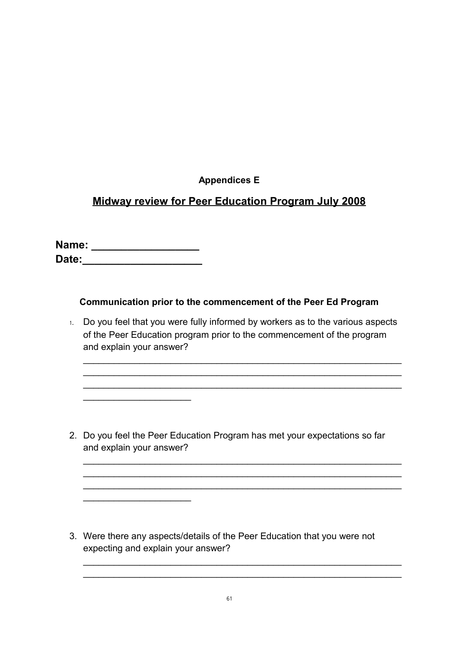## **Appendices E**

## **Midway review for Peer Education Program July 2008**

**Name: \_\_\_\_\_\_\_\_\_\_\_\_\_\_\_\_\_\_ Date:\_\_\_\_\_\_\_\_\_\_\_\_\_\_\_\_\_\_\_\_**

 $\mathcal{L}_\text{max}$  , we have the set of the set of the set of the set of the set of the set of the set of the set of the set of the set of the set of the set of the set of the set of the set of the set of the set of the set of

 $\mathcal{L}_\text{max}$  , we have the set of the set of the set of the set of the set of the set of the set of the set of the set of the set of the set of the set of the set of the set of the set of the set of the set of the set of

#### **Communication prior to the commencement of the Peer Ed Program**

1. Do you feel that you were fully informed by workers as to the various aspects of the Peer Education program prior to the commencement of the program and explain your answer?

 $\mathcal{L}_\text{max} = \mathcal{L}_\text{max} = \mathcal{L}_\text{max} = \mathcal{L}_\text{max} = \mathcal{L}_\text{max} = \mathcal{L}_\text{max} = \mathcal{L}_\text{max} = \mathcal{L}_\text{max} = \mathcal{L}_\text{max} = \mathcal{L}_\text{max} = \mathcal{L}_\text{max} = \mathcal{L}_\text{max} = \mathcal{L}_\text{max} = \mathcal{L}_\text{max} = \mathcal{L}_\text{max} = \mathcal{L}_\text{max} = \mathcal{L}_\text{max} = \mathcal{L}_\text{max} = \mathcal{$  $\mathcal{L}_\text{max}$  , and the contract of the contract of the contract of the contract of the contract of the contract of the contract of the contract of the contract of the contract of the contract of the contract of the contr  $\mathcal{L}_\text{max}$  , and the contract of the contract of the contract of the contract of the contract of the contract of the contract of the contract of the contract of the contract of the contract of the contract of the contr

2. Do you feel the Peer Education Program has met your expectations so far and explain your answer?

 $\mathcal{L}_\text{max}$  , and the contract of the contract of the contract of the contract of the contract of the contract of the contract of the contract of the contract of the contract of the contract of the contract of the contr  $\mathcal{L}_\text{max}$  , and the contract of the contract of the contract of the contract of the contract of the contract of the contract of the contract of the contract of the contract of the contract of the contract of the contr  $\mathcal{L}_\text{max} = \mathcal{L}_\text{max} = \mathcal{L}_\text{max} = \mathcal{L}_\text{max} = \mathcal{L}_\text{max} = \mathcal{L}_\text{max} = \mathcal{L}_\text{max} = \mathcal{L}_\text{max} = \mathcal{L}_\text{max} = \mathcal{L}_\text{max} = \mathcal{L}_\text{max} = \mathcal{L}_\text{max} = \mathcal{L}_\text{max} = \mathcal{L}_\text{max} = \mathcal{L}_\text{max} = \mathcal{L}_\text{max} = \mathcal{L}_\text{max} = \mathcal{L}_\text{max} = \mathcal{$ 

 $\mathcal{L}_\text{max}$  , and the contract of the contract of the contract of the contract of the contract of the contract of the contract of the contract of the contract of the contract of the contract of the contract of the contr  $\mathcal{L}_\text{max} = \mathcal{L}_\text{max} = \mathcal{L}_\text{max} = \mathcal{L}_\text{max} = \mathcal{L}_\text{max} = \mathcal{L}_\text{max} = \mathcal{L}_\text{max} = \mathcal{L}_\text{max} = \mathcal{L}_\text{max} = \mathcal{L}_\text{max} = \mathcal{L}_\text{max} = \mathcal{L}_\text{max} = \mathcal{L}_\text{max} = \mathcal{L}_\text{max} = \mathcal{L}_\text{max} = \mathcal{L}_\text{max} = \mathcal{L}_\text{max} = \mathcal{L}_\text{max} = \mathcal{$ 

3. Were there any aspects/details of the Peer Education that you were not expecting and explain your answer?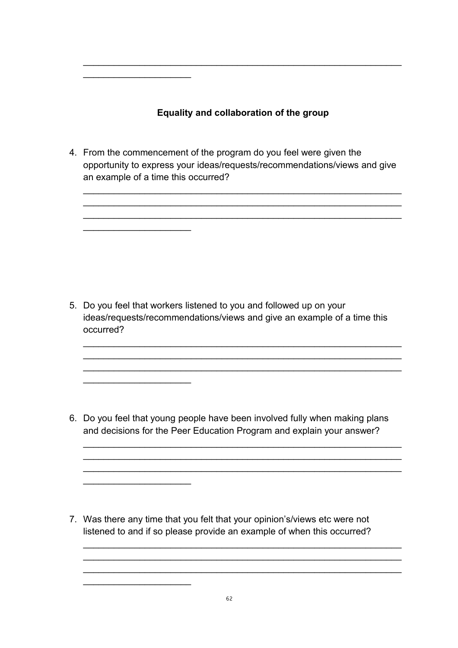## **Equality and collaboration of the group**

 $\mathcal{L}_\text{max}$  , and the contract of the contract of the contract of the contract of the contract of the contract of the contract of the contract of the contract of the contract of the contract of the contract of the contr

 $\mathcal{L}=\{1,2,3,4,5\}$ 

 $\mathcal{L}_\text{max}$  , we have the set of the set of the set of the set of the set of the set of the set of the set of the set of the set of the set of the set of the set of the set of the set of the set of the set of the set of

 $\overline{\phantom{a}}$  , where  $\overline{\phantom{a}}$ 

 $\mathcal{L}_\text{max}$  , we have the set of the set of the set of the set of the set of the set of the set of the set of the set of the set of the set of the set of the set of the set of the set of the set of the set of the set of

 $\mathcal{L}_\text{max}$  , we have the set of the set of the set of the set of the set of the set of the set of the set of the set of the set of the set of the set of the set of the set of the set of the set of the set of the set of

4. From the commencement of the program do you feel were given the opportunity to express your ideas/requests/recommendations/views and give an example of a time this occurred?

 $\mathcal{L}_\text{max}$  , and the contract of the contract of the contract of the contract of the contract of the contract of the contract of the contract of the contract of the contract of the contract of the contract of the contr  $\mathcal{L}_\text{max}$  , and the contract of the contract of the contract of the contract of the contract of the contract of the contract of the contract of the contract of the contract of the contract of the contract of the contr  $\mathcal{L}_\text{max} = \mathcal{L}_\text{max} = \mathcal{L}_\text{max} = \mathcal{L}_\text{max} = \mathcal{L}_\text{max} = \mathcal{L}_\text{max} = \mathcal{L}_\text{max} = \mathcal{L}_\text{max} = \mathcal{L}_\text{max} = \mathcal{L}_\text{max} = \mathcal{L}_\text{max} = \mathcal{L}_\text{max} = \mathcal{L}_\text{max} = \mathcal{L}_\text{max} = \mathcal{L}_\text{max} = \mathcal{L}_\text{max} = \mathcal{L}_\text{max} = \mathcal{L}_\text{max} = \mathcal{$ 

5. Do you feel that workers listened to you and followed up on your ideas/requests/recommendations/views and give an example of a time this occurred?

 $\mathcal{L}_\text{max} = \mathcal{L}_\text{max} = \mathcal{L}_\text{max} = \mathcal{L}_\text{max} = \mathcal{L}_\text{max} = \mathcal{L}_\text{max} = \mathcal{L}_\text{max} = \mathcal{L}_\text{max} = \mathcal{L}_\text{max} = \mathcal{L}_\text{max} = \mathcal{L}_\text{max} = \mathcal{L}_\text{max} = \mathcal{L}_\text{max} = \mathcal{L}_\text{max} = \mathcal{L}_\text{max} = \mathcal{L}_\text{max} = \mathcal{L}_\text{max} = \mathcal{L}_\text{max} = \mathcal{$  $\mathcal{L}_\text{max} = \mathcal{L}_\text{max} = \mathcal{L}_\text{max} = \mathcal{L}_\text{max} = \mathcal{L}_\text{max} = \mathcal{L}_\text{max} = \mathcal{L}_\text{max} = \mathcal{L}_\text{max} = \mathcal{L}_\text{max} = \mathcal{L}_\text{max} = \mathcal{L}_\text{max} = \mathcal{L}_\text{max} = \mathcal{L}_\text{max} = \mathcal{L}_\text{max} = \mathcal{L}_\text{max} = \mathcal{L}_\text{max} = \mathcal{L}_\text{max} = \mathcal{L}_\text{max} = \mathcal{$  $\mathcal{L}_\text{max}$  , and the contract of the contract of the contract of the contract of the contract of the contract of the contract of the contract of the contract of the contract of the contract of the contract of the contr

6. Do you feel that young people have been involved fully when making plans and decisions for the Peer Education Program and explain your answer?

 $\mathcal{L}_\text{max} = \mathcal{L}_\text{max} = \mathcal{L}_\text{max} = \mathcal{L}_\text{max} = \mathcal{L}_\text{max} = \mathcal{L}_\text{max} = \mathcal{L}_\text{max} = \mathcal{L}_\text{max} = \mathcal{L}_\text{max} = \mathcal{L}_\text{max} = \mathcal{L}_\text{max} = \mathcal{L}_\text{max} = \mathcal{L}_\text{max} = \mathcal{L}_\text{max} = \mathcal{L}_\text{max} = \mathcal{L}_\text{max} = \mathcal{L}_\text{max} = \mathcal{L}_\text{max} = \mathcal{$  $\mathcal{L}_\text{max}$  , and the contract of the contract of the contract of the contract of the contract of the contract of the contract of the contract of the contract of the contract of the contract of the contract of the contr  $\mathcal{L}_\text{max}$  , and the contract of the contract of the contract of the contract of the contract of the contract of the contract of the contract of the contract of the contract of the contract of the contract of the contr

 $\mathcal{L}_\text{max}$  , and the contract of the contract of the contract of the contract of the contract of the contract of the contract of the contract of the contract of the contract of the contract of the contract of the contr  $\mathcal{L}_\text{max}$  , and the contract of the contract of the contract of the contract of the contract of the contract of the contract of the contract of the contract of the contract of the contract of the contract of the contr  $\mathcal{L}_\text{max} = \mathcal{L}_\text{max} = \mathcal{L}_\text{max} = \mathcal{L}_\text{max} = \mathcal{L}_\text{max} = \mathcal{L}_\text{max} = \mathcal{L}_\text{max} = \mathcal{L}_\text{max} = \mathcal{L}_\text{max} = \mathcal{L}_\text{max} = \mathcal{L}_\text{max} = \mathcal{L}_\text{max} = \mathcal{L}_\text{max} = \mathcal{L}_\text{max} = \mathcal{L}_\text{max} = \mathcal{L}_\text{max} = \mathcal{L}_\text{max} = \mathcal{L}_\text{max} = \mathcal{$ 

7. Was there any time that you felt that your opinion's/views etc were not listened to and if so please provide an example of when this occurred?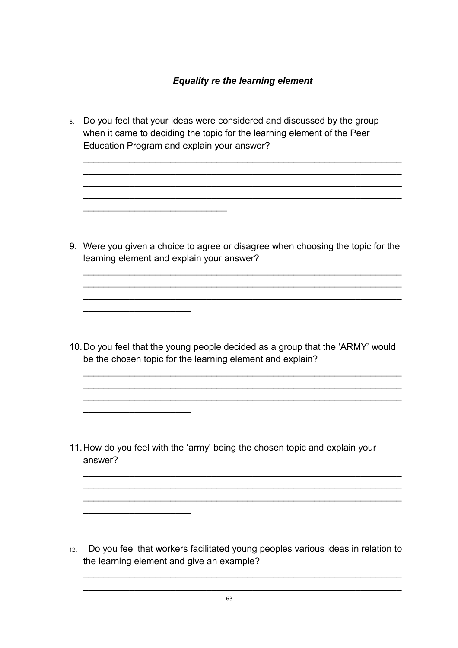$\mathcal{L}_\text{max}$  , and the contract of the contract of the contract of the contract of the contract of the contract of the contract of the contract of the contract of the contract of the contract of the contract of the contr  $\mathcal{L}_\text{max} = \mathcal{L}_\text{max} = \mathcal{L}_\text{max} = \mathcal{L}_\text{max} = \mathcal{L}_\text{max} = \mathcal{L}_\text{max} = \mathcal{L}_\text{max} = \mathcal{L}_\text{max} = \mathcal{L}_\text{max} = \mathcal{L}_\text{max} = \mathcal{L}_\text{max} = \mathcal{L}_\text{max} = \mathcal{L}_\text{max} = \mathcal{L}_\text{max} = \mathcal{L}_\text{max} = \mathcal{L}_\text{max} = \mathcal{L}_\text{max} = \mathcal{L}_\text{max} = \mathcal{$  $\mathcal{L}_\text{max}$  , and the contract of the contract of the contract of the contract of the contract of the contract of the contract of the contract of the contract of the contract of the contract of the contract of the contr  $\mathcal{L}_\text{max}$  , and the contract of the contract of the contract of the contract of the contract of the contract of the contract of the contract of the contract of the contract of the contract of the contract of the contr

8. Do you feel that your ideas were considered and discussed by the group when it came to deciding the topic for the learning element of the Peer Education Program and explain your answer?

 $\mathcal{L}_\text{max}$  , where  $\mathcal{L}_\text{max}$  is the set of the set of the set of the set of the set of the set of the set of the set of the set of the set of the set of the set of the set of the set of the set of the set of the se

 $\mathcal{L}_\text{max}$  , we have the set of the set of the set of the set of the set of the set of the set of the set of the set of the set of the set of the set of the set of the set of the set of the set of the set of the set of

 $\mathcal{L}=\{1,2,3,4,5\}$ 

 $\mathcal{L}=\{1,2,3,4,5\}$ 

9. Were you given a choice to agree or disagree when choosing the topic for the learning element and explain your answer?

 $\mathcal{L}_\text{max}$  , and the contract of the contract of the contract of the contract of the contract of the contract of the contract of the contract of the contract of the contract of the contract of the contract of the contr  $\mathcal{L}_\text{max}$  , and the contract of the contract of the contract of the contract of the contract of the contract of the contract of the contract of the contract of the contract of the contract of the contract of the contr  $\mathcal{L}_\text{max} = \mathcal{L}_\text{max} = \mathcal{L}_\text{max} = \mathcal{L}_\text{max} = \mathcal{L}_\text{max} = \mathcal{L}_\text{max} = \mathcal{L}_\text{max} = \mathcal{L}_\text{max} = \mathcal{L}_\text{max} = \mathcal{L}_\text{max} = \mathcal{L}_\text{max} = \mathcal{L}_\text{max} = \mathcal{L}_\text{max} = \mathcal{L}_\text{max} = \mathcal{L}_\text{max} = \mathcal{L}_\text{max} = \mathcal{L}_\text{max} = \mathcal{L}_\text{max} = \mathcal{$ 

10.Do you feel that the young people decided as a group that the 'ARMY' would be the chosen topic for the learning element and explain?

 $\mathcal{L}_\text{max}$  , and the contract of the contract of the contract of the contract of the contract of the contract of the contract of the contract of the contract of the contract of the contract of the contract of the contr  $\mathcal{L}_\text{max} = \mathcal{L}_\text{max} = \mathcal{L}_\text{max} = \mathcal{L}_\text{max} = \mathcal{L}_\text{max} = \mathcal{L}_\text{max} = \mathcal{L}_\text{max} = \mathcal{L}_\text{max} = \mathcal{L}_\text{max} = \mathcal{L}_\text{max} = \mathcal{L}_\text{max} = \mathcal{L}_\text{max} = \mathcal{L}_\text{max} = \mathcal{L}_\text{max} = \mathcal{L}_\text{max} = \mathcal{L}_\text{max} = \mathcal{L}_\text{max} = \mathcal{L}_\text{max} = \mathcal{$  $\mathcal{L}_\text{max} = \mathcal{L}_\text{max} = \mathcal{L}_\text{max} = \mathcal{L}_\text{max} = \mathcal{L}_\text{max} = \mathcal{L}_\text{max} = \mathcal{L}_\text{max} = \mathcal{L}_\text{max} = \mathcal{L}_\text{max} = \mathcal{L}_\text{max} = \mathcal{L}_\text{max} = \mathcal{L}_\text{max} = \mathcal{L}_\text{max} = \mathcal{L}_\text{max} = \mathcal{L}_\text{max} = \mathcal{L}_\text{max} = \mathcal{L}_\text{max} = \mathcal{L}_\text{max} = \mathcal{$ 

 $\mathcal{L}_\text{max} = \mathcal{L}_\text{max} = \mathcal{L}_\text{max} = \mathcal{L}_\text{max} = \mathcal{L}_\text{max} = \mathcal{L}_\text{max} = \mathcal{L}_\text{max} = \mathcal{L}_\text{max} = \mathcal{L}_\text{max} = \mathcal{L}_\text{max} = \mathcal{L}_\text{max} = \mathcal{L}_\text{max} = \mathcal{L}_\text{max} = \mathcal{L}_\text{max} = \mathcal{L}_\text{max} = \mathcal{L}_\text{max} = \mathcal{L}_\text{max} = \mathcal{L}_\text{max} = \mathcal{$  $\mathcal{L}_\text{max} = \mathcal{L}_\text{max} = \mathcal{L}_\text{max} = \mathcal{L}_\text{max} = \mathcal{L}_\text{max} = \mathcal{L}_\text{max} = \mathcal{L}_\text{max} = \mathcal{L}_\text{max} = \mathcal{L}_\text{max} = \mathcal{L}_\text{max} = \mathcal{L}_\text{max} = \mathcal{L}_\text{max} = \mathcal{L}_\text{max} = \mathcal{L}_\text{max} = \mathcal{L}_\text{max} = \mathcal{L}_\text{max} = \mathcal{L}_\text{max} = \mathcal{L}_\text{max} = \mathcal{$  $\mathcal{L}_\text{max}$  , and the contract of the contract of the contract of the contract of the contract of the contract of the contract of the contract of the contract of the contract of the contract of the contract of the contr

11.How do you feel with the 'army' being the chosen topic and explain your answer?

12. Do you feel that workers facilitated young peoples various ideas in relation to the learning element and give an example?

 $\mathcal{L}_\text{max}$  , and the contract of the contract of the contract of the contract of the contract of the contract of the contract of the contract of the contract of the contract of the contract of the contract of the contr  $\mathcal{L}_\text{max} = \mathcal{L}_\text{max} = \mathcal{L}_\text{max} = \mathcal{L}_\text{max} = \mathcal{L}_\text{max} = \mathcal{L}_\text{max} = \mathcal{L}_\text{max} = \mathcal{L}_\text{max} = \mathcal{L}_\text{max} = \mathcal{L}_\text{max} = \mathcal{L}_\text{max} = \mathcal{L}_\text{max} = \mathcal{L}_\text{max} = \mathcal{L}_\text{max} = \mathcal{L}_\text{max} = \mathcal{L}_\text{max} = \mathcal{L}_\text{max} = \mathcal{L}_\text{max} = \mathcal{$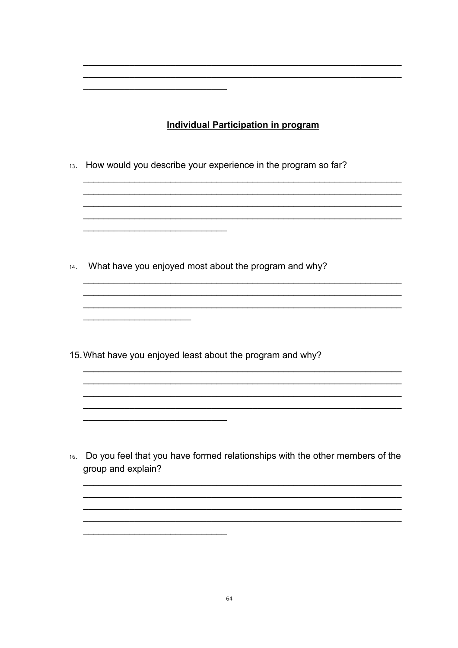## **Individual Participation in program**

13. How would you describe your experience in the program so far?

14. What have you enjoyed most about the program and why?

15. What have you enjoyed least about the program and why?

16. Do you feel that you have formed relationships with the other members of the group and explain?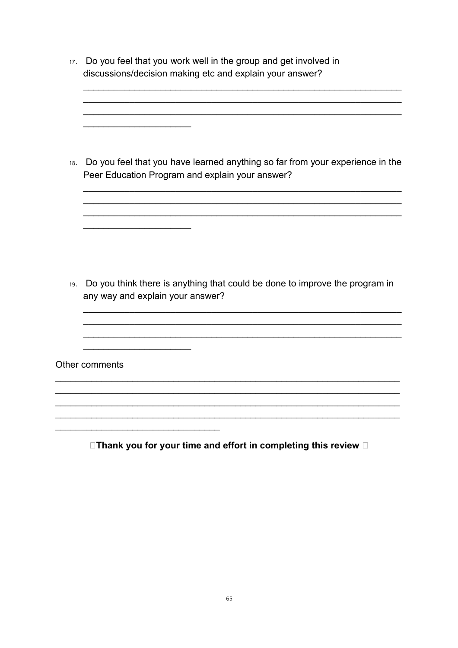17. Do you feel that you work well in the group and get involved in discussions/decision making etc and explain your answer?

18. Do you feel that you have learned anything so far from your experience in the Peer Education Program and explain your answer?

19. Do you think there is anything that could be done to improve the program in any way and explain your answer?

Other comments

 $\Box$ Thank you for your time and effort in completing this review  $\Box$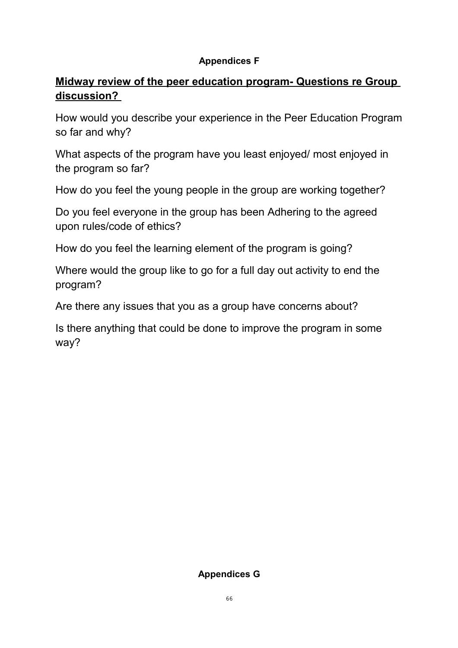## **Appendices F**

# **Midway review of the peer education program- Questions re Group discussion?**

How would you describe your experience in the Peer Education Program so far and why?

What aspects of the program have you least enjoyed/ most enjoyed in the program so far?

How do you feel the young people in the group are working together?

Do you feel everyone in the group has been Adhering to the agreed upon rules/code of ethics?

How do you feel the learning element of the program is going?

Where would the group like to go for a full day out activity to end the program?

Are there any issues that you as a group have concerns about?

Is there anything that could be done to improve the program in some way?

## **Appendices G**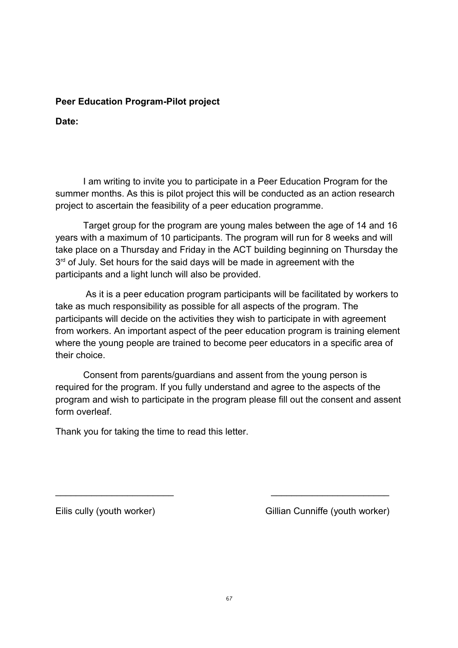#### **Peer Education Program-Pilot project**

**Date:**

I am writing to invite you to participate in a Peer Education Program for the summer months. As this is pilot project this will be conducted as an action research project to ascertain the feasibility of a peer education programme.

Target group for the program are young males between the age of 14 and 16 years with a maximum of 10 participants. The program will run for 8 weeks and will take place on a Thursday and Friday in the ACT building beginning on Thursday the  $3<sup>rd</sup>$  of July. Set hours for the said days will be made in agreement with the participants and a light lunch will also be provided.

As it is a peer education program participants will be facilitated by workers to take as much responsibility as possible for all aspects of the program. The participants will decide on the activities they wish to participate in with agreement from workers. An important aspect of the peer education program is training element where the young people are trained to become peer educators in a specific area of their choice.

Consent from parents/guardians and assent from the young person is required for the program. If you fully understand and agree to the aspects of the program and wish to participate in the program please fill out the consent and assent form overleaf.

 $\mathcal{L}_\text{max}$  , and the contract of the contract of the contract of the contract of the contract of the contract of the contract of the contract of the contract of the contract of the contract of the contract of the contr

Thank you for taking the time to read this letter.

Eilis cully (youth worker) Gillian Cunniffe (youth worker)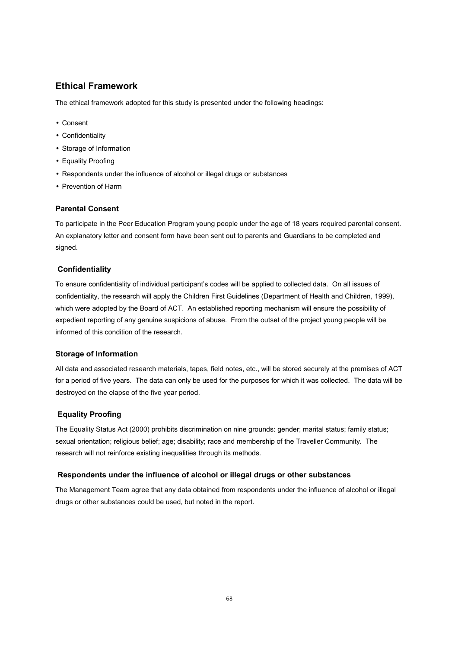#### **Ethical Framework**

The ethical framework adopted for this study is presented under the following headings:

- Consent
- Confidentiality
- Storage of Information
- Equality Proofing
- Respondents under the influence of alcohol or illegal drugs or substances
- Prevention of Harm

#### **Parental Consent**

To participate in the Peer Education Program young people under the age of 18 years required parental consent. An explanatory letter and consent form have been sent out to parents and Guardians to be completed and signed.

#### **Confidentiality**

To ensure confidentiality of individual participant's codes will be applied to collected data. On all issues of confidentiality, the research will apply the Children First Guidelines (Department of Health and Children, 1999), which were adopted by the Board of ACT. An established reporting mechanism will ensure the possibility of expedient reporting of any genuine suspicions of abuse. From the outset of the project young people will be informed of this condition of the research.

#### **Storage of Information**

All data and associated research materials, tapes, field notes, etc., will be stored securely at the premises of ACT for a period of five years. The data can only be used for the purposes for which it was collected. The data will be destroyed on the elapse of the five year period.

#### **Equality Proofing**

The Equality Status Act (2000) prohibits discrimination on nine grounds: gender; marital status; family status; sexual orientation; religious belief; age; disability; race and membership of the Traveller Community. The research will not reinforce existing inequalities through its methods.

#### **Respondents under the influence of alcohol or illegal drugs or other substances**

The Management Team agree that any data obtained from respondents under the influence of alcohol or illegal drugs or other substances could be used, but noted in the report.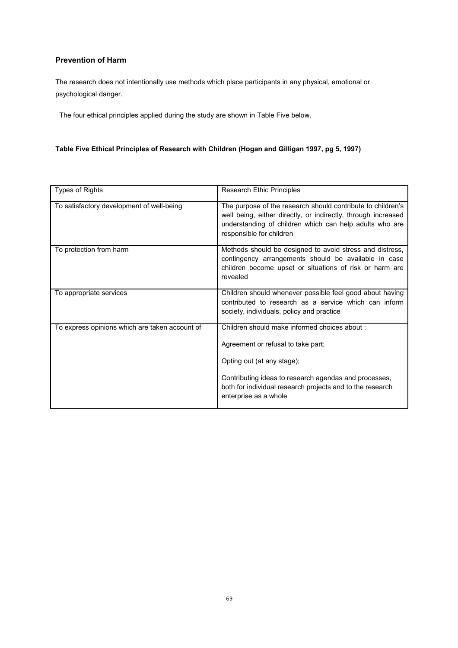#### **Prevention of Harm**

The research does not intentionally use methods which place participants in any physical, emotional or psychological danger.

The four ethical principles applied during the study are shown in Table Five below.

#### **Table Five Ethical Principles of Research with Children (Hogan and Gilligan 1997, pg 5, 1997)**

| <b>Types of Rights</b>                         | Research Ethic Principles                                                                                                                                                                                                                                        |
|------------------------------------------------|------------------------------------------------------------------------------------------------------------------------------------------------------------------------------------------------------------------------------------------------------------------|
| To satisfactory development of well-being      | The purpose of the research should contribute to children's<br>well being, either directly, or indirectly, through increased<br>understanding of children which can help adults who are<br>responsible for children                                              |
| To protection from harm                        | Methods should be designed to avoid stress and distress,<br>contingency arrangements should be available in case<br>children become upset or situations of risk or harm are<br>revealed                                                                          |
| To appropriate services                        | Children should whenever possible feel good about having<br>contributed to research as a service which can inform<br>society, individuals, policy and practice                                                                                                   |
| To express opinions which are taken account of | Children should make informed choices about :<br>Agreement or refusal to take part;<br>Opting out (at any stage);<br>Contributing ideas to research agendas and processes,<br>both for individual research projects and to the research<br>enterprise as a whole |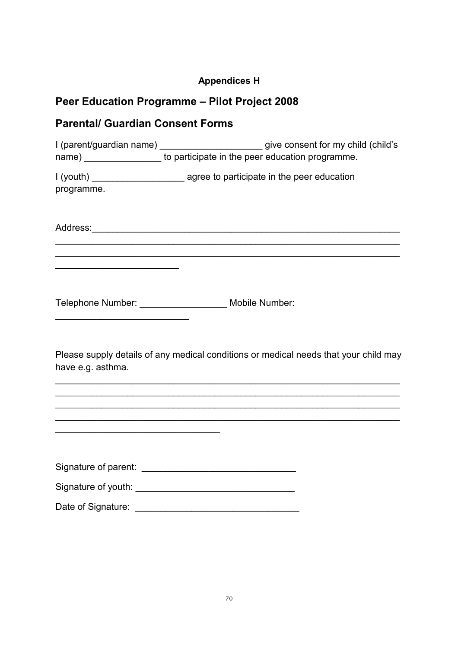# **Appendices H**

# **Peer Education Programme – Pilot Project 2008**

# **Parental/ Guardian Consent Forms**

|                                                                                                                        | I (parent/guardian name) _________________________give consent for my child (child's<br>name) __________________ to participate in the peer education programme. |
|------------------------------------------------------------------------------------------------------------------------|------------------------------------------------------------------------------------------------------------------------------------------------------------------|
|                                                                                                                        |                                                                                                                                                                  |
| programme.                                                                                                             |                                                                                                                                                                  |
|                                                                                                                        |                                                                                                                                                                  |
| <u> 2002 - Jan James James Jan James James James James James James James James James James James James James James</u> |                                                                                                                                                                  |
| <u> 1989 - Jan Barnett, fransk politiker (d. 1989)</u>                                                                 | Telephone Number: _____________________ Mobile Number:                                                                                                           |
| have e.g. asthma.                                                                                                      | Please supply details of any medical conditions or medical needs that your child may                                                                             |
|                                                                                                                        | ,我们也不会有什么。""我们的人,我们也不会有什么?""我们的人,我们也不会有什么?""我们的人,我们也不会有什么?""我们的人,我们也不会有什么?""我们的人                                                                                 |
|                                                                                                                        | <u> 1989 - Johann Stoff, amerikansk politiker (* 1908)</u>                                                                                                       |
|                                                                                                                        |                                                                                                                                                                  |
|                                                                                                                        |                                                                                                                                                                  |

Date of Signature: \_\_\_\_\_\_\_\_\_\_\_\_\_\_\_\_\_\_\_\_\_\_\_\_\_\_\_\_\_\_\_\_